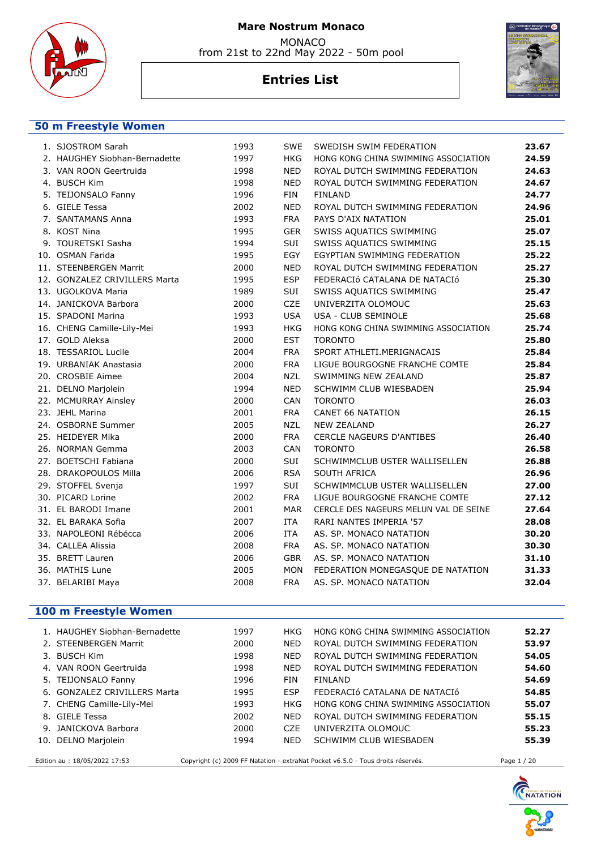

from 21st to 22nd May 2022 - 50m pool

# **Entries List**



#### **50 m Freestyle Women**

| 1. SJOSTROM Sarah             | 1993 | <b>SWE</b> | SWEDISH SWIM FEDERATION               | 23.67 |
|-------------------------------|------|------------|---------------------------------------|-------|
| 2. HAUGHEY Siobhan-Bernadette | 1997 | <b>HKG</b> | HONG KONG CHINA SWIMMING ASSOCIATION  | 24.59 |
| 3. VAN ROON Geertruida        | 1998 | <b>NED</b> | ROYAL DUTCH SWIMMING FEDERATION       | 24.63 |
| 4. BUSCH Kim                  | 1998 | <b>NED</b> | ROYAL DUTCH SWIMMING FEDERATION       | 24.67 |
| 5. TEIJONSALO Fanny           | 1996 | <b>FIN</b> | <b>FINLAND</b>                        | 24.77 |
| 6. GIELE Tessa                | 2002 | <b>NED</b> | ROYAL DUTCH SWIMMING FEDERATION       | 24.96 |
| 7. SANTAMANS Anna             | 1993 | <b>FRA</b> | PAYS D'AIX NATATION                   | 25.01 |
| 8. KOST Nina                  | 1995 | <b>GER</b> | SWISS AQUATICS SWIMMING               | 25.07 |
| 9. TOURETSKI Sasha            | 1994 | SUI        | SWISS AQUATICS SWIMMING               | 25.15 |
| 10. OSMAN Farida              | 1995 | EGY        | EGYPTIAN SWIMMING FEDERATION          | 25.22 |
| 11. STEENBERGEN Marrit        | 2000 | <b>NED</b> | ROYAL DUTCH SWIMMING FEDERATION       | 25.27 |
| 12. GONZALEZ CRIVILLERS Marta | 1995 | <b>ESP</b> | FEDERACIÓ CATALANA DE NATACIÓ         | 25.30 |
| 13. UGOLKOVA Maria            | 1989 | SUI        | SWISS AQUATICS SWIMMING               | 25.47 |
| 14. JANICKOVA Barbora         | 2000 | CZE        | UNIVERZITA OLOMOUC                    | 25.63 |
| 15. SPADONI Marina            | 1993 | <b>USA</b> | USA - CLUB SEMINOLE                   | 25.68 |
| 16. CHENG Camille-Lily-Mei    | 1993 | <b>HKG</b> | HONG KONG CHINA SWIMMING ASSOCIATION  | 25.74 |
| 17. GOLD Aleksa               | 2000 | <b>EST</b> | <b>TORONTO</b>                        | 25.80 |
| 18. TESSARIOL Lucile          | 2004 | <b>FRA</b> | SPORT ATHLETI.MERIGNACAIS             | 25.84 |
| 19. URBANIAK Anastasia        | 2000 | <b>FRA</b> | LIGUE BOURGOGNE FRANCHE COMTE         | 25.84 |
| 20. CROSBIE Aimee             | 2004 | <b>NZL</b> | SWIMMING NEW ZEALAND                  | 25.87 |
| 21. DELNO Marjolein           | 1994 | <b>NED</b> | SCHWIMM CLUB WIESBADEN                | 25.94 |
| 22. MCMURRAY Ainsley          | 2000 | CAN        | <b>TORONTO</b>                        | 26.03 |
| 23. JEHL Marina               | 2001 | <b>FRA</b> | <b>CANET 66 NATATION</b>              | 26.15 |
| 24. OSBORNE Summer            | 2005 | <b>NZL</b> | <b>NEW ZEALAND</b>                    | 26.27 |
| 25. HEIDEYER Mika             | 2000 | <b>FRA</b> | CERCLE NAGEURS D'ANTIBES              | 26.40 |
| 26. NORMAN Gemma              | 2003 | CAN        | <b>TORONTO</b>                        | 26.58 |
| 27. BOETSCHI Fabiana          | 2000 | SUI        | SCHWIMMCLUB USTER WALLISELLEN         | 26.88 |
| 28. DRAKOPOULOS Milla         | 2006 | <b>RSA</b> | SOUTH AFRICA                          | 26.96 |
| 29. STOFFEL Svenja            | 1997 | SUI        | SCHWIMMCLUB USTER WALLISELLEN         | 27.00 |
| 30. PICARD Lorine             | 2002 | <b>FRA</b> | LIGUE BOURGOGNE FRANCHE COMTE         | 27.12 |
| 31. EL BARODI Imane           | 2001 | <b>MAR</b> | CERCLE DES NAGEURS MELUN VAL DE SEINE | 27.64 |
| 32. EL BARAKA Sofia           | 2007 | <b>ITA</b> | RARI NANTES IMPERIA '57               | 28.08 |
| 33. NAPOLEONI Rébécca         | 2006 | <b>ITA</b> | AS. SP. MONACO NATATION               | 30.20 |
| 34. CALLEA Alissia            | 2008 | <b>FRA</b> | AS. SP. MONACO NATATION               | 30.30 |
| 35. BRETT Lauren              | 2006 | <b>GBR</b> | AS. SP. MONACO NATATION               | 31.10 |
| 36. MATHIS Lune               | 2005 | <b>MON</b> | FEDERATION MONEGASQUE DE NATATION     | 31.33 |
| 37. BELARIBI Maya             | 2008 | <b>FRA</b> | AS. SP. MONACO NATATION               | 32.04 |
|                               |      |            |                                       |       |

### **100 m Freestyle Women**

| 1. HAUGHEY Siobhan-Bernadette | 1997 | HKG        | HONG KONG CHINA SWIMMING ASSOCIATION                                            | 52.27       |
|-------------------------------|------|------------|---------------------------------------------------------------------------------|-------------|
| 2. STEENBERGEN Marrit         | 2000 | <b>NED</b> | ROYAL DUTCH SWIMMING FEDERATION                                                 | 53.97       |
| 3. BUSCH Kim                  | 1998 | <b>NED</b> | ROYAL DUTCH SWIMMING FEDERATION                                                 | 54.05       |
| 4. VAN ROON Geertruida        | 1998 | <b>NED</b> | ROYAL DUTCH SWIMMING FEDERATION                                                 | 54.60       |
| 5. TEIJONSALO Fanny           | 1996 | FIN        | FINLAND                                                                         | 54.69       |
| 6. GONZALEZ CRIVILLERS Marta  | 1995 | <b>ESP</b> | FEDERACIÓ CATALANA DE NATACIÓ                                                   | 54.85       |
| 7. CHENG Camille-Lily-Mei     | 1993 | HKG        | HONG KONG CHINA SWIMMING ASSOCIATION                                            | 55.07       |
| 8. GIELE Tessa                | 2002 | <b>NED</b> | ROYAL DUTCH SWIMMING FEDERATION                                                 | 55.15       |
| 9. JANICKOVA Barbora          | 2000 | CZE        | UNIVERZITA OLOMOUC                                                              | 55.23       |
| 10. DELNO Marjolein           | 1994 | <b>NED</b> | SCHWIMM CLUB WIESBADEN                                                          | 55.39       |
| Edition au : 18/05/2022 17:53 |      |            | Copyright (c) 2009 FF Natation - extraNat Pocket v6.5.0 - Tous droits réservés. | Page 1 / 20 |

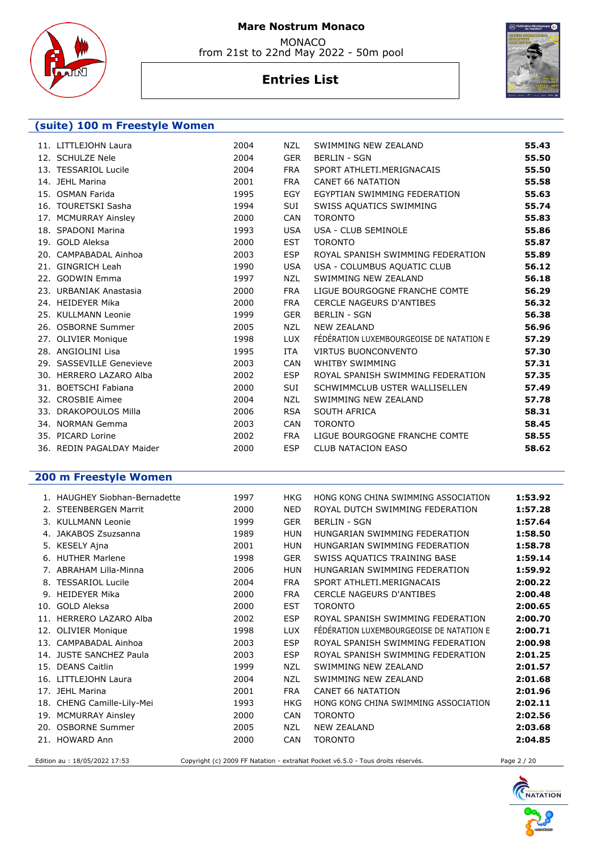

 MONACO from 21st to 22nd May 2022 - 50m pool

# **Entries List**



### **(suite) 100 m Freestyle Women**

| 11. LITTLEJOHN Laura      | 2004 | NZL        | SWIMMING NEW ZEALAND                     | 55.43 |
|---------------------------|------|------------|------------------------------------------|-------|
| 12. SCHULZE Nele          | 2004 | <b>GER</b> | <b>BERLIN - SGN</b>                      | 55.50 |
| 13. TESSARIOL Lucile      | 2004 | <b>FRA</b> | SPORT ATHLETI.MERIGNACAIS                | 55.50 |
| 14. JEHL Marina           | 2001 | <b>FRA</b> | <b>CANET 66 NATATION</b>                 | 55.58 |
| 15. OSMAN Farida          | 1995 | EGY        | EGYPTIAN SWIMMING FEDERATION             | 55.63 |
| 16. TOURETSKI Sasha       | 1994 | <b>SUI</b> | SWISS AQUATICS SWIMMING                  | 55.74 |
| 17. MCMURRAY Ainsley      | 2000 | <b>CAN</b> | <b>TORONTO</b>                           | 55.83 |
| 18. SPADONI Marina        | 1993 | <b>USA</b> | USA - CLUB SEMINOLE                      | 55.86 |
| 19. GOLD Aleksa           | 2000 | <b>EST</b> | <b>TORONTO</b>                           | 55.87 |
| 20. CAMPABADAL Ainhoa     | 2003 | <b>ESP</b> | ROYAL SPANISH SWIMMING FEDERATION        | 55.89 |
| 21. GINGRICH Leah         | 1990 | <b>USA</b> | USA - COLUMBUS AQUATIC CLUB              | 56.12 |
| 22. GODWIN Emma           | 1997 | NZL        | SWIMMING NEW ZEALAND                     | 56.18 |
| 23. URBANIAK Anastasia    | 2000 | <b>FRA</b> | LIGUE BOURGOGNE FRANCHE COMTE            | 56.29 |
| 24. HEIDEYER Mika         | 2000 | <b>FRA</b> | CERCLE NAGEURS D'ANTIBES                 | 56.32 |
| 25. KULLMANN Leonie       | 1999 | <b>GER</b> | <b>BERLIN - SGN</b>                      | 56.38 |
| 26. OSBORNE Summer        | 2005 | NZL        | <b>NEW ZEALAND</b>                       | 56.96 |
| 27. OLIVIER Monique       | 1998 | LUX.       | FÉDÉRATION LUXEMBOURGEOISE DE NATATION E | 57.29 |
| 28. ANGIOLINI Lisa        | 1995 | ITA        | <b>VIRTUS BUONCONVENTO</b>               | 57.30 |
| 29. SASSEVILLE Genevieve  | 2003 | <b>CAN</b> | <b>WHITBY SWIMMING</b>                   | 57.31 |
| 30. HERRERO LAZARO Alba   | 2002 | <b>ESP</b> | ROYAL SPANISH SWIMMING FEDERATION        | 57.35 |
| 31. BOETSCHI Fabiana      | 2000 | <b>SUI</b> | SCHWIMMCLUB USTER WALLISELLEN            | 57.49 |
| 32. CROSBIE Aimee         | 2004 | <b>NZL</b> | SWIMMING NEW ZEALAND                     | 57.78 |
| 33. DRAKOPOULOS Milla     | 2006 | <b>RSA</b> | SOUTH AFRICA                             | 58.31 |
| 34. NORMAN Gemma          | 2003 | <b>CAN</b> | <b>TORONTO</b>                           | 58.45 |
| 35. PICARD Lorine         | 2002 | <b>FRA</b> | LIGUE BOURGOGNE FRANCHE COMTE            | 58.55 |
| 36. REDIN PAGALDAY Maider | 2000 | <b>ESP</b> | <b>CLUB NATACION EASO</b>                | 58.62 |
|                           |      |            |                                          |       |

### **200 m Freestyle Women**

|     | 1. HAUGHEY Siobhan-Bernadette | 1997 | HKG        | HONG KONG CHINA SWIMMING ASSOCIATION     | 1:53.92 |
|-----|-------------------------------|------|------------|------------------------------------------|---------|
| 2.  | <b>STEENBERGEN Marrit</b>     | 2000 | <b>NED</b> | ROYAL DUTCH SWIMMING FEDERATION          | 1:57.28 |
|     | 3. KULLMANN Leonie            | 1999 | <b>GER</b> | <b>BERLIN - SGN</b>                      | 1:57.64 |
|     | JAKABOS Zsuzsanna             | 1989 | <b>HUN</b> | HUNGARIAN SWIMMING FEDERATION            | 1:58.50 |
|     | 5. KESELY Ajna                | 2001 | <b>HUN</b> | HUNGARIAN SWIMMING FEDERATION            | 1:58.78 |
|     | 6. HUTHER Marlene             | 1998 | <b>GER</b> | SWISS AQUATICS TRAINING BASE             | 1:59.14 |
|     | 7. ABRAHAM Lilla-Minna        | 2006 | <b>HUN</b> | HUNGARIAN SWIMMING FEDERATION            | 1:59.92 |
|     | 8. TESSARIOL Lucile           | 2004 | <b>FRA</b> | SPORT ATHLETI.MERIGNACAIS                | 2:00.22 |
|     | 9. HEIDEYER Mika              | 2000 | <b>FRA</b> | <b>CERCLE NAGEURS D'ANTIBES</b>          | 2:00.48 |
| 10. | <b>GOLD Aleksa</b>            | 2000 | <b>EST</b> | <b>TORONTO</b>                           | 2:00.65 |
|     | 11. HERRERO LAZARO Alba       | 2002 | <b>ESP</b> | ROYAL SPANISH SWIMMING FEDERATION        | 2:00.70 |
|     | 12. OLIVIER Monique           | 1998 | <b>LUX</b> | FÉDÉRATION LUXEMBOURGEOISE DE NATATION E | 2:00.71 |
|     | 13. CAMPABADAL Ainhoa         | 2003 | <b>ESP</b> | ROYAL SPANISH SWIMMING FEDERATION        | 2:00.98 |
|     | 14. JUSTE SANCHEZ Paula       | 2003 | <b>ESP</b> | ROYAL SPANISH SWIMMING FEDERATION        | 2:01.25 |
|     | 15. DEANS Caitlin             | 1999 | <b>NZL</b> | SWIMMING NEW ZEALAND                     | 2:01.57 |
|     | 16. LITTLEJOHN Laura          | 2004 | <b>NZL</b> | SWIMMING NEW ZEALAND                     | 2:01.68 |
| 17. | <b>JEHL Marina</b>            | 2001 | <b>FRA</b> | <b>CANET 66 NATATION</b>                 | 2:01.96 |
|     | 18. CHENG Camille-Lily-Mei    | 1993 | <b>HKG</b> | HONG KONG CHINA SWIMMING ASSOCIATION     | 2:02.11 |
|     | 19. MCMURRAY Ainsley          | 2000 | <b>CAN</b> | <b>TORONTO</b>                           | 2:02.56 |
|     | 20. OSBORNE Summer            | 2005 | <b>NZL</b> | <b>NEW ZEALAND</b>                       | 2:03.68 |
|     | 21. HOWARD Ann                | 2000 | CAN        | <b>TORONTO</b>                           | 2:04.85 |
|     |                               |      |            |                                          |         |

Edition au : 18/05/2022 17:53 Copyright (c) 2009 FF Natation - extraNat Pocket v6.5.0 - Tous droits réservés. Page 2 / 20

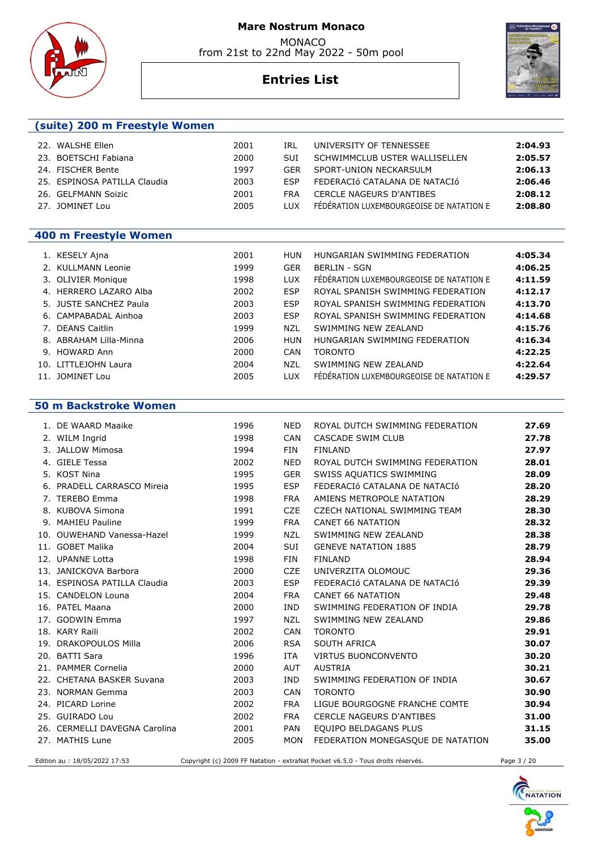MONACO from 21st to 22nd May 2022 - 50m pool



### **Entries List**



|     | (suite) 200 m Freestyle Women |      |            |                                          |         |
|-----|-------------------------------|------|------------|------------------------------------------|---------|
| 22. | WALSHE Ellen                  | 2001 | IRL        | UNIVERSITY OF TENNESSEE                  | 2:04.93 |
|     | 23. BOETSCHI Fabiana          | 2000 | <b>SUI</b> | SCHWIMMCLUB USTER WALLISELLEN            | 2:05.57 |
|     | 24. FISCHER Bente             | 1997 | GFR        | SPORT-UNION NECKARSULM                   | 2:06.13 |
|     | 25. ESPINOSA PATILLA Claudia  | 2003 | <b>FSP</b> | FEDERACIÓ CATALANA DE NATACIÓ            | 2:06.46 |
|     | 26. GELFMANN Soizic           | 2001 | <b>FRA</b> | <b>CERCLE NAGEURS D'ANTIBES</b>          | 2:08.12 |
|     | 27. JOMINET Lou               | 2005 | <b>TUX</b> | FÉDÉRATION LUXEMBOURGEOISE DE NATATION E | 2:08.80 |

### **400 m Freestyle Women**

| 1. KESELY Ajna         | 2001 | HUN        | HUNGARIAN SWIMMING FEDERATION            | 4:05.34 |
|------------------------|------|------------|------------------------------------------|---------|
| 2. KULLMANN Leonie     | 1999 | <b>GER</b> | <b>BERLIN - SGN</b>                      | 4:06.25 |
| 3. OLIVIER Monique     | 1998 | <b>LUX</b> | FÉDÉRATION LUXEMBOURGEOISE DE NATATION E | 4:11.59 |
| 4. HERRERO LAZARO Alba | 2002 | <b>ESP</b> | ROYAL SPANISH SWIMMING FEDERATION        | 4:12.17 |
| 5. JUSTE SANCHEZ Paula | 2003 | <b>ESP</b> | ROYAL SPANISH SWIMMING FEDERATION        | 4:13.70 |
| 6. CAMPABADAL Ainhoa   | 2003 | <b>ESP</b> | ROYAL SPANISH SWIMMING FEDERATION        | 4:14.68 |
| 7. DEANS Caitlin       | 1999 | <b>NZL</b> | SWIMMING NEW ZEALAND                     | 4:15.76 |
| 8. ABRAHAM Lilla-Minna | 2006 | HUN        | HUNGARIAN SWIMMING FEDERATION            | 4:16.34 |
| 9. HOWARD Ann          | 2000 | CAN        | <b>TORONTO</b>                           | 4:22.25 |
| 10. LITTLEJOHN Laura   | 2004 | NZL        | SWIMMING NEW ZEALAND                     | 4:22.64 |
| 11. JOMINET Lou        | 2005 | <b>LUX</b> | FÉDÉRATION LUXEMBOURGEOISE DE NATATION E | 4:29.57 |

#### **50 m Backstroke Women**

| 1. DE WAARD Maaike            | 1996 | <b>NED</b> | ROYAL DUTCH SWIMMING FEDERATION   | 27.69 |
|-------------------------------|------|------------|-----------------------------------|-------|
| 2. WILM Ingrid                | 1998 | <b>CAN</b> | <b>CASCADE SWIM CLUB</b>          | 27.78 |
| 3. JALLOW Mimosa              | 1994 | FIN        | <b>FINLAND</b>                    | 27.97 |
| 4. GIELE Tessa                | 2002 | <b>NED</b> | ROYAL DUTCH SWIMMING FEDERATION   | 28.01 |
| 5. KOST Nina                  | 1995 | <b>GER</b> | SWISS AQUATICS SWIMMING           | 28.09 |
| 6. PRADELL CARRASCO Mireia    | 1995 | <b>ESP</b> | FEDERACIÓ CATALANA DE NATACIÓ     | 28.20 |
| 7. TEREBO Emma                | 1998 | <b>FRA</b> | AMIENS METROPOLE NATATION         | 28.29 |
| 8. KUBOVA Simona              | 1991 | <b>CZE</b> | CZECH NATIONAL SWIMMING TEAM      | 28.30 |
| 9. MAHIEU Pauline             | 1999 | <b>FRA</b> | <b>CANET 66 NATATION</b>          | 28.32 |
| 10. OUWEHAND Vanessa-Hazel    | 1999 | <b>NZL</b> | SWIMMING NEW ZEALAND              | 28.38 |
| 11. GOBET Malika              | 2004 | <b>SUI</b> | <b>GENEVE NATATION 1885</b>       | 28.79 |
| 12. UPANNE Lotta              | 1998 | <b>FIN</b> | <b>FINLAND</b>                    | 28.94 |
| 13. JANICKOVA Barbora         | 2000 | <b>CZE</b> | UNIVERZITA OLOMOUC                | 29.36 |
| 14. ESPINOSA PATILLA Claudia  | 2003 | <b>ESP</b> | FEDERACIÓ CATALANA DE NATACIÓ     | 29.39 |
| 15. CANDELON Louna            | 2004 | <b>FRA</b> | <b>CANET 66 NATATION</b>          | 29.48 |
| 16. PATEL Maana               | 2000 | <b>IND</b> | SWIMMING FEDERATION OF INDIA      | 29.78 |
| 17. GODWIN Emma               | 1997 | <b>NZL</b> | SWIMMING NEW ZEALAND              | 29.86 |
| 18. KARY Raili                | 2002 | <b>CAN</b> | <b>TORONTO</b>                    | 29.91 |
| 19. DRAKOPOULOS Milla         | 2006 | <b>RSA</b> | SOUTH AFRICA                      | 30.07 |
| 20. BATTI Sara                | 1996 | <b>ITA</b> | <b>VIRTUS BUONCONVENTO</b>        | 30.20 |
| 21. PAMMER Cornelia           | 2000 | <b>AUT</b> | <b>AUSTRIA</b>                    | 30.21 |
| 22. CHETANA BASKER Suvana     | 2003 | <b>IND</b> | SWIMMING FEDERATION OF INDIA      | 30.67 |
| 23. NORMAN Gemma              | 2003 | <b>CAN</b> | <b>TORONTO</b>                    | 30.90 |
| 24. PICARD Lorine             | 2002 | <b>FRA</b> | LIGUE BOURGOGNE FRANCHE COMTE     | 30.94 |
| 25. GUIRADO Lou               | 2002 | <b>FRA</b> | <b>CERCLE NAGEURS D'ANTIBES</b>   | 31.00 |
| 26. CERMELLI DAVEGNA Carolina | 2001 | <b>PAN</b> | EQUIPO BELDAGANS PLUS             | 31.15 |
| 27. MATHIS Lune               | 2005 | <b>MON</b> | FEDERATION MONEGASQUE DE NATATION | 35.00 |
|                               |      |            |                                   |       |

Edition au : 18/05/2022 17:53 Copyright (c) 2009 FF Natation - extraNat Pocket v6.5.0 - Tous droits réservés. Page 3 / 20

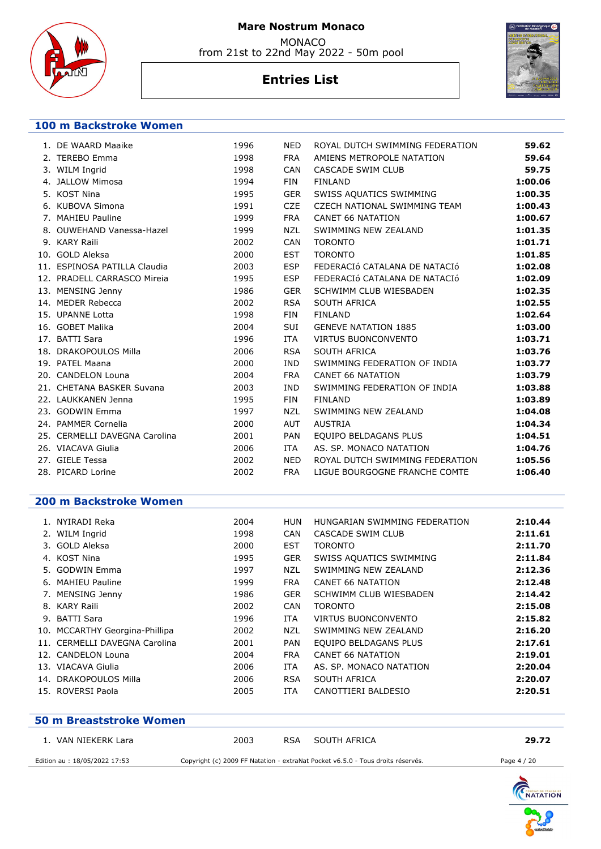

 MONACO from 21st to 22nd May 2022 - 50m pool

# **Entries List**



#### **100 m Backstroke Women**

| 1. DE WAARD Maaike            | 1996 | <b>NED</b> | ROYAL DUTCH SWIMMING FEDERATION | 59.62   |
|-------------------------------|------|------------|---------------------------------|---------|
| 2. TEREBO Emma                | 1998 | <b>FRA</b> | AMIENS METROPOLE NATATION       | 59.64   |
| 3. WILM Ingrid                | 1998 | <b>CAN</b> | CASCADE SWIM CLUB               | 59.75   |
| 4. JALLOW Mimosa              | 1994 | <b>FIN</b> | <b>FINLAND</b>                  | 1:00.06 |
| 5. KOST Nina                  | 1995 | <b>GER</b> | SWISS AQUATICS SWIMMING         | 1:00.35 |
| 6. KUBOVA Simona              | 1991 | <b>CZE</b> | CZECH NATIONAL SWIMMING TEAM    | 1:00.43 |
| 7. MAHIEU Pauline             | 1999 | <b>FRA</b> | <b>CANET 66 NATATION</b>        | 1:00.67 |
| 8. OUWEHAND Vanessa-Hazel     | 1999 | <b>NZL</b> | SWIMMING NEW ZEALAND            | 1:01.35 |
| 9. KARY Raili                 | 2002 | <b>CAN</b> | <b>TORONTO</b>                  | 1:01.71 |
| 10. GOLD Aleksa               | 2000 | <b>EST</b> | <b>TORONTO</b>                  | 1:01.85 |
| 11. ESPINOSA PATILLA Claudia  | 2003 | <b>ESP</b> | FEDERACIÓ CATALANA DE NATACIÓ   | 1:02.08 |
| 12. PRADELL CARRASCO Mireia   | 1995 | <b>ESP</b> | FEDERACIÓ CATALANA DE NATACIÓ   | 1:02.09 |
| 13. MENSING Jenny             | 1986 | <b>GER</b> | SCHWIMM CLUB WIESBADEN          | 1:02.35 |
| 14. MEDER Rebecca             | 2002 | <b>RSA</b> | SOUTH AFRICA                    | 1:02.55 |
| 15. UPANNE Lotta              | 1998 | <b>FIN</b> | <b>FINLAND</b>                  | 1:02.64 |
| 16. GOBET Malika              | 2004 | <b>SUI</b> | <b>GENEVE NATATION 1885</b>     | 1:03.00 |
| 17. BATTI Sara                | 1996 | <b>ITA</b> | <b>VIRTUS BUONCONVENTO</b>      | 1:03.71 |
| 18. DRAKOPOULOS Milla         | 2006 | <b>RSA</b> | SOUTH AFRICA                    | 1:03.76 |
| 19. PATEL Maana               | 2000 | <b>IND</b> | SWIMMING FEDERATION OF INDIA    | 1:03.77 |
| 20. CANDELON Louna            | 2004 | <b>FRA</b> | <b>CANET 66 NATATION</b>        | 1:03.79 |
| 21. CHETANA BASKER Suvana     | 2003 | <b>IND</b> | SWIMMING FEDERATION OF INDIA    | 1:03.88 |
| 22. LAUKKANEN Jenna           | 1995 | <b>FIN</b> | <b>FINLAND</b>                  | 1:03.89 |
| 23. GODWIN Emma               | 1997 | NZL        | SWIMMING NEW ZEALAND            | 1:04.08 |
| 24. PAMMER Cornelia           | 2000 | <b>AUT</b> | <b>AUSTRIA</b>                  | 1:04.34 |
| 25. CERMELLI DAVEGNA Carolina | 2001 | <b>PAN</b> | EQUIPO BELDAGANS PLUS           | 1:04.51 |
| 26. VIACAVA Giulia            | 2006 | ITA        | AS. SP. MONACO NATATION         | 1:04.76 |
| 27. GIELE Tessa               | 2002 | <b>NED</b> | ROYAL DUTCH SWIMMING FEDERATION | 1:05.56 |
| 28. PICARD Lorine             | 2002 | <b>FRA</b> | LIGUE BOURGOGNE FRANCHE COMTE   | 1:06.40 |
|                               |      |            |                                 |         |

#### **200 m Backstroke Women**

| 1. NYIRADI Reka                | 2004 | HUN        | HUNGARIAN SWIMMING FEDERATION | 2:10.44 |
|--------------------------------|------|------------|-------------------------------|---------|
| 2. WILM Ingrid                 | 1998 | <b>CAN</b> | CASCADE SWIM CLUB             | 2:11.61 |
| 3. GOLD Aleksa                 | 2000 | <b>EST</b> | <b>TORONTO</b>                | 2:11.70 |
| 4. KOST Nina                   | 1995 | <b>GER</b> | SWISS AQUATICS SWIMMING       | 2:11.84 |
| 5. GODWIN Emma                 | 1997 | NZL        | SWIMMING NEW ZEALAND          | 2:12.36 |
| 6. MAHIEU Pauline              | 1999 | <b>FRA</b> | CANET 66 NATATION             | 2:12.48 |
| 7. MENSING Jenny               | 1986 | <b>GER</b> | SCHWIMM CLUB WIESBADEN        | 2:14.42 |
| 8. KARY Raili                  | 2002 | <b>CAN</b> | <b>TORONTO</b>                | 2:15.08 |
| 9. BATTI Sara                  | 1996 | <b>ITA</b> | VIRTUS BUONCONVENTO           | 2:15.82 |
| 10. MCCARTHY Georgina-Phillipa | 2002 | NZL        | SWIMMING NEW ZEALAND          | 2:16.20 |
| 11. CERMELLI DAVEGNA Carolina  | 2001 | <b>PAN</b> | EQUIPO BELDAGANS PLUS         | 2:17.61 |
| 12. CANDELON Louna             | 2004 | <b>FRA</b> | CANET 66 NATATION             | 2:19.01 |
| 13. VIACAVA Giulia             | 2006 | <b>ITA</b> | AS. SP. MONACO NATATION       | 2:20.04 |
| 14. DRAKOPOULOS Milla          | 2006 | <b>RSA</b> | SOUTH AFRICA                  | 2:20.07 |
| 15. ROVERSI Paola              | 2005 | ITA        | CANOTTIERI BALDESIO           | 2:20.51 |
|                                |      |            |                               |         |

# **50 m Breaststroke Women**  1. VAN NIEKERK Lara 2003 RSA SOUTH AFRICA **29.72** Edition au : 18/05/2022 17:53 Copyright (c) 2009 FF Natation - extraNat Pocket v6.5.0 - Tous droits réservés. Page 4 / 20

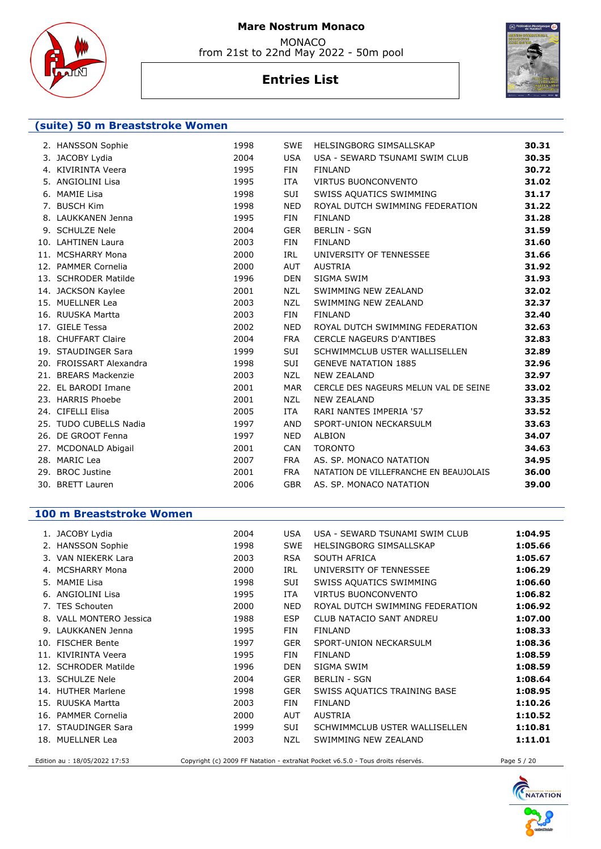

 MONACO from 21st to 22nd May 2022 - 50m pool

# **Entries List**



#### **(suite) 50 m Breaststroke Women**

| 2. HANSSON Sophie       | 1998 | <b>SWE</b> | HELSINGBORG SIMSALLSKAP                | 30.31 |
|-------------------------|------|------------|----------------------------------------|-------|
| 3. JACOBY Lydia         | 2004 | <b>USA</b> | USA - SEWARD TSUNAMI SWIM CLUB         | 30.35 |
| 4. KIVIRINTA Veera      | 1995 | FIN        | <b>FINLAND</b>                         | 30.72 |
| 5. ANGIOLINI Lisa       | 1995 | <b>ITA</b> | VIRTUS BUONCONVENTO                    | 31.02 |
| 6. MAMIE Lisa           | 1998 | SUI        | SWISS AQUATICS SWIMMING                | 31.17 |
| 7. BUSCH Kim            | 1998 | <b>NED</b> | ROYAL DUTCH SWIMMING FEDERATION        | 31.22 |
| 8. LAUKKANEN Jenna      | 1995 | <b>FIN</b> | <b>FINLAND</b>                         | 31.28 |
| 9. SCHULZE Nele         | 2004 | <b>GER</b> | <b>BERLIN - SGN</b>                    | 31.59 |
| 10. LAHTINEN Laura      | 2003 | <b>FIN</b> | <b>FINLAND</b>                         | 31.60 |
| 11. MCSHARRY Mona       | 2000 | <b>IRL</b> | UNIVERSITY OF TENNESSEE                | 31.66 |
| 12. PAMMER Cornelia     | 2000 | <b>AUT</b> | <b>AUSTRIA</b>                         | 31.92 |
| 13. SCHRODER Matilde    | 1996 | <b>DEN</b> | SIGMA SWIM                             | 31.93 |
| 14. JACKSON Kaylee      | 2001 | <b>NZL</b> | SWIMMING NEW ZEALAND                   | 32.02 |
| 15. MUELLNER Lea        | 2003 | NZL        | SWIMMING NEW ZEALAND                   | 32.37 |
| 16. RUUSKA Martta       | 2003 | FIN        | <b>FINLAND</b>                         | 32.40 |
| 17. GIELE Tessa         | 2002 | <b>NED</b> | ROYAL DUTCH SWIMMING FEDERATION        | 32.63 |
| 18. CHUFFART Claire     | 2004 | <b>FRA</b> | <b>CERCLE NAGEURS D'ANTIBES</b>        | 32.83 |
| 19. STAUDINGER Sara     | 1999 | <b>SUI</b> | SCHWIMMCLUB USTER WALLISELLEN          | 32.89 |
| 20. FROISSART Alexandra | 1998 | <b>SUI</b> | <b>GENEVE NATATION 1885</b>            | 32.96 |
| 21. BREARS Mackenzie    | 2003 | <b>NZL</b> | <b>NEW ZEALAND</b>                     | 32.97 |
| 22. EL BARODI Imane     | 2001 | <b>MAR</b> | CERCLE DES NAGEURS MELUN VAL DE SEINE  | 33.02 |
| 23. HARRIS Phoebe       | 2001 | NZL        | <b>NEW ZEALAND</b>                     | 33.35 |
| 24. CIFELLI Elisa       | 2005 | <b>ITA</b> | RARI NANTES IMPERIA '57                | 33.52 |
| 25. TUDO CUBELLS Nadia  | 1997 | AND        | SPORT-UNION NECKARSULM                 | 33.63 |
| 26. DE GROOT Fenna      | 1997 | <b>NED</b> | <b>ALBION</b>                          | 34.07 |
| 27. MCDONALD Abigail    | 2001 | <b>CAN</b> | <b>TORONTO</b>                         | 34.63 |
| 28. MARIC Lea           | 2007 | <b>FRA</b> | AS. SP. MONACO NATATION                | 34.95 |
| 29. BROC Justine        | 2001 | <b>FRA</b> | NATATION DE VILLEFRANCHE EN BEAUJOLAIS | 36.00 |
| 30. BRETT Lauren        | 2006 | <b>GBR</b> | AS. SP. MONACO NATATION                | 39.00 |
|                         |      |            |                                        |       |

#### **100 m Breaststroke Women**

| 1. JACOBY Lydia         | 2004 | USA        | USA - SEWARD TSUNAMI SWIM CLUB  | 1:04.95 |
|-------------------------|------|------------|---------------------------------|---------|
| 2. HANSSON Sophie       | 1998 | <b>SWE</b> | HELSINGBORG SIMSALLSKAP         | 1:05.66 |
| 3. VAN NIEKERK Lara     | 2003 | <b>RSA</b> | <b>SOUTH AFRICA</b>             | 1:05.67 |
| <b>MCSHARRY Mona</b>    | 2000 | IRL        | UNIVERSITY OF TENNESSEE         | 1:06.29 |
| 5. MAMIE Lisa           | 1998 | <b>SUI</b> | SWISS AQUATICS SWIMMING         | 1:06.60 |
| 6. ANGIOLINI Lisa       | 1995 | ITA        | <b>VIRTUS BUONCONVENTO</b>      | 1:06.82 |
| 7. TES Schouten         | 2000 | <b>NED</b> | ROYAL DUTCH SWIMMING FEDERATION | 1:06.92 |
| 8. VALL MONTERO Jessica | 1988 | <b>ESP</b> | CLUB NATACIO SANT ANDREU        | 1:07.00 |
| 9. LAUKKANEN Jenna      | 1995 | FIN        | <b>FINLAND</b>                  | 1:08.33 |
| 10. FISCHER Bente       | 1997 | <b>GER</b> | SPORT-UNION NECKARSULM          | 1:08.36 |
| 11. KIVIRINTA Veera     | 1995 | FIN        | <b>FINLAND</b>                  | 1:08.59 |
| 12. SCHRODER Matilde    | 1996 | <b>DEN</b> | SIGMA SWIM                      | 1:08.59 |
| 13. SCHULZE Nele        | 2004 | <b>GER</b> | <b>BERLIN - SGN</b>             | 1:08.64 |
| 14. HUTHER Marlene      | 1998 | <b>GER</b> | SWISS AQUATICS TRAINING BASE    | 1:08.95 |
| 15. RUUSKA Martta       | 2003 | <b>FIN</b> | <b>FINLAND</b>                  | 1:10.26 |
| 16. PAMMER Cornelia     | 2000 | <b>AUT</b> | <b>AUSTRIA</b>                  | 1:10.52 |
| 17. STAUDINGER Sara     | 1999 | <b>SUI</b> | SCHWIMMCLUB USTER WALLISELLEN   | 1:10.81 |
| 18. MUELLNER Lea        | 2003 | <b>NZL</b> | SWIMMING NEW ZEALAND            | 1:11.01 |
|                         |      |            |                                 |         |

Edition au : 18/05/2022 17:53 Copyright (c) 2009 FF Natation - extraNat Pocket v6.5.0 - Tous droits réservés. Page 5 / 20

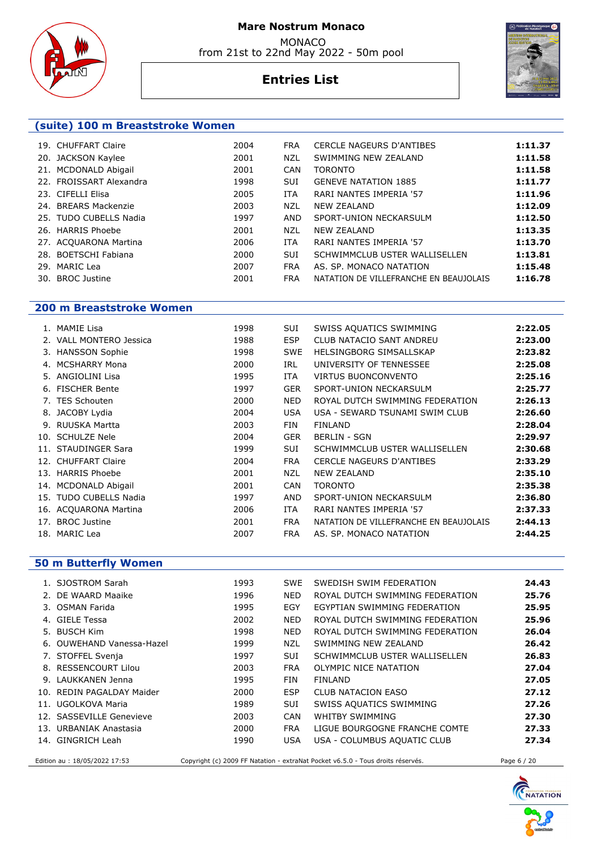

from 21st to 22nd May 2022 - 50m pool

# **Entries List**

| (suite) 100 m Breaststroke Women |      |            |                                        |         |  |  |  |
|----------------------------------|------|------------|----------------------------------------|---------|--|--|--|
| 19. CHUFFART Claire              | 2004 | <b>FRA</b> | <b>CERCLE NAGEURS D'ANTIBES</b>        | 1:11.37 |  |  |  |
| 20. JACKSON Kaylee               | 2001 | <b>NZL</b> | SWIMMING NEW ZEALAND                   | 1:11.58 |  |  |  |
| 21. MCDONALD Abigail             | 2001 | <b>CAN</b> | <b>TORONTO</b>                         | 1:11.58 |  |  |  |
| 22. FROISSART Alexandra          | 1998 | <b>SUI</b> | <b>GENEVE NATATION 1885</b>            | 1:11.77 |  |  |  |
| 23. CIFELLI Elisa                | 2005 | <b>ITA</b> | RARI NANTES IMPERIA '57                | 1:11.96 |  |  |  |
| 24. BREARS Mackenzie             | 2003 | NZL        | <b>NEW ZEALAND</b>                     | 1:12.09 |  |  |  |
| 25. TUDO CUBELLS Nadia           | 1997 | AND        | SPORT-UNION NECKARSULM                 | 1:12.50 |  |  |  |
| 26. HARRIS Phoebe                | 2001 | <b>NZL</b> | <b>NEW ZEALAND</b>                     | 1:13.35 |  |  |  |
| 27. ACQUARONA Martina            | 2006 | <b>ITA</b> | RARI NANTES IMPERIA '57                | 1:13.70 |  |  |  |
| 28. BOETSCHI Fabiana             | 2000 | <b>SUI</b> | SCHWIMMCLUB USTER WALLISELLEN          | 1:13.81 |  |  |  |
| 29. MARIC Lea                    | 2007 | <b>FRA</b> | AS. SP. MONACO NATATION                | 1:15.48 |  |  |  |
| 30. BROC Justine                 | 2001 | <b>FRA</b> | NATATION DE VILLEFRANCHE EN BEAUJOLAIS | 1:16.78 |  |  |  |

# **200 m Breaststroke Women**

|    | 1. MAMIE Lisa           | 1998 | SUI        | SWISS AQUATICS SWIMMING                | 2:22.05 |
|----|-------------------------|------|------------|----------------------------------------|---------|
|    | 2. VALL MONTERO Jessica | 1988 | <b>ESP</b> | CLUB NATACIO SANT ANDREU               | 2:23.00 |
|    | 3. HANSSON Sophie       | 1998 | <b>SWE</b> | HELSINGBORG SIMSALLSKAP                | 2:23.82 |
| 4. | <b>MCSHARRY Mona</b>    | 2000 | <b>IRL</b> | UNIVERSITY OF TENNESSEE                | 2:25.08 |
| 5. | ANGIOLINI Lisa          | 1995 | ITA.       | <b>VIRTUS BUONCONVENTO</b>             | 2:25.16 |
| 6. | <b>FISCHER Bente</b>    | 1997 | <b>GER</b> | SPORT-UNION NECKARSULM                 | 2:25.77 |
|    | 7. TES Schouten         | 2000 | <b>NED</b> | ROYAL DUTCH SWIMMING FEDERATION        | 2:26.13 |
|    | 8. JACOBY Lydia         | 2004 | <b>USA</b> | USA - SEWARD TSUNAMI SWIM CLUB         | 2:26.60 |
|    | 9. RUUSKA Martta        | 2003 | <b>FIN</b> | <b>FINLAND</b>                         | 2:28.04 |
|    | 10. SCHULZE Nele        | 2004 | <b>GER</b> | <b>BERLIN - SGN</b>                    | 2:29.97 |
|    | 11. STAUDINGER Sara     | 1999 | <b>SUI</b> | SCHWIMMCLUB USTER WALLISELLEN          | 2:30.68 |
|    | 12. CHUFFART Claire     | 2004 | <b>FRA</b> | <b>CERCLE NAGEURS D'ANTIBES</b>        | 2:33.29 |
|    | 13. HARRIS Phoebe       | 2001 | <b>NZL</b> | <b>NEW ZEALAND</b>                     | 2:35.10 |
|    | 14. MCDONALD Abigail    | 2001 | <b>CAN</b> | <b>TORONTO</b>                         | 2:35.38 |
|    | 15. TUDO CUBELLS Nadia  | 1997 | AND        | SPORT-UNION NECKARSULM                 | 2:36.80 |
|    | 16. ACQUARONA Martina   | 2006 | ITA.       | RARI NANTES IMPERIA '57                | 2:37.33 |
|    | 17. BROC Justine        | 2001 | <b>FRA</b> | NATATION DE VILLEFRANCHE EN BEAUJOLAIS | 2:44.13 |
|    | 18. MARIC Lea           | 2007 | <b>FRA</b> | AS. SP. MONACO NATATION                | 2:44.25 |
|    |                         |      |            |                                        |         |

### **50 m Butterfly Women**

| 1. SJOSTROM Sarah         | 1993 | <b>SWE</b> | SWEDISH SWIM FEDERATION                                                          | 24.43 |
|---------------------------|------|------------|----------------------------------------------------------------------------------|-------|
| 2. DE WAARD Maaike        | 1996 | NED.       | ROYAL DUTCH SWIMMING FEDERATION                                                  | 25.76 |
| 3. OSMAN Farida           | 1995 | EGY        | EGYPTIAN SWIMMING FEDERATION                                                     | 25.95 |
| 4. GIELE Tessa            | 2002 | NED.       | ROYAL DUTCH SWIMMING FEDERATION                                                  | 25.96 |
| 5. BUSCH Kim              | 1998 | NED.       | ROYAL DUTCH SWIMMING FEDERATION                                                  | 26.04 |
| 6. OUWEHAND Vanessa-Hazel | 1999 | NZL        | SWIMMING NEW ZEALAND                                                             | 26.42 |
| 7. STOFFEL Svenja         | 1997 | <b>SUI</b> | SCHWIMMCLUB USTER WALLISELLEN                                                    | 26.83 |
| 8. RESSENCOURT Lilou      | 2003 | <b>FRA</b> | OLYMPIC NICE NATATION                                                            | 27.04 |
| 9. LAUKKANEN Jenna        | 1995 | FIN        | <b>FINLAND</b>                                                                   | 27.05 |
| 10. REDIN PAGALDAY Maider | 2000 | ESP        | CLUB NATACION EASO                                                               | 27.12 |
| 11. UGOLKOVA Maria        | 1989 | <b>SUI</b> | SWISS AQUATICS SWIMMING                                                          | 27.26 |
| 12. SASSEVILLE Genevieve  | 2003 | <b>CAN</b> | WHITBY SWIMMING                                                                  | 27.30 |
| 13. URBANIAK Anastasia    | 2000 | <b>FRA</b> | LIGUE BOURGOGNE FRANCHE COMTE                                                    | 27.33 |
| 14. GINGRICH Leah         | 1990 | <b>USA</b> | USA - COLUMBUS AQUATIC CLUB                                                      | 27.34 |
|                           |      |            | ,但是我们的人,我们也不会不会不会。""我们的人,我们也不会不会不会。""我们的人,我们也不会不会不会。""我们的人,我们也不会不会不会不会不会不会。""我们的 |       |

Edition au : 18/05/2022 17:53 Copyright (c) 2009 FF Natation - extraNat Pocket v6.5.0 - Tous droits réservés. Page 6 / 20



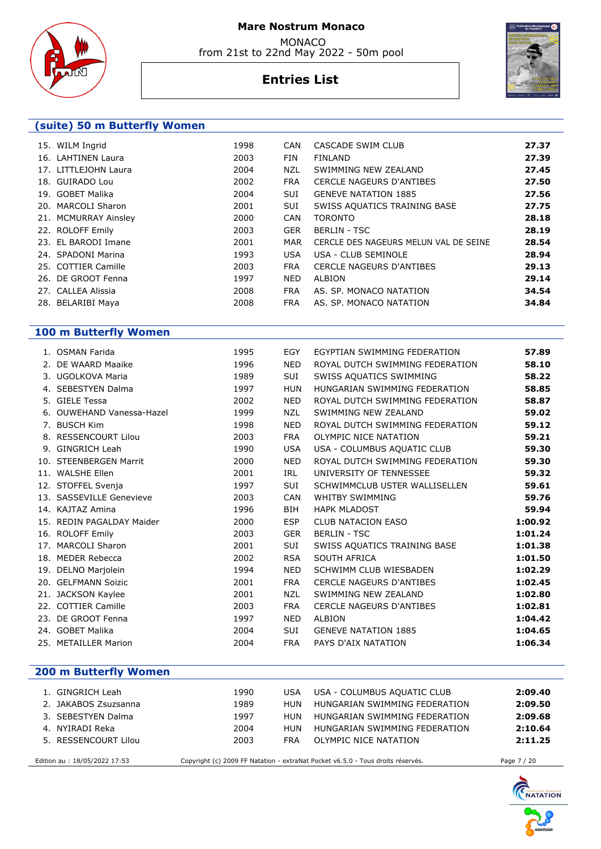

 MONACO from 21st to 22nd May 2022 - 50m pool

# **Entries List**



### **(suite) 50 m Butterfly Women**

| 15. WILM Ingrid      | 1998 | <b>CAN</b> | CASCADE SWIM CLUB                     | 27.37 |
|----------------------|------|------------|---------------------------------------|-------|
| 16. LAHTINEN Laura   | 2003 | <b>FIN</b> | <b>FINLAND</b>                        | 27.39 |
| 17. LITTLEJOHN Laura | 2004 | NZL        | SWIMMING NEW ZEALAND                  | 27.45 |
| 18. GUIRADO Lou      | 2002 | <b>FRA</b> | <b>CERCLE NAGEURS D'ANTIBES</b>       | 27.50 |
| 19. GOBET Malika     | 2004 | <b>SUI</b> | <b>GENEVE NATATION 1885</b>           | 27.56 |
| 20. MARCOLI Sharon   | 2001 | SUI        | SWISS AQUATICS TRAINING BASE          | 27.75 |
| 21. MCMURRAY Ainsley | 2000 | CAN        | <b>TORONTO</b>                        | 28.18 |
| 22. ROLOFF Emily     | 2003 | <b>GER</b> | <b>BERLIN - TSC</b>                   | 28.19 |
| 23. EL BARODI Imane  | 2001 | MAR        | CERCLE DES NAGEURS MELUN VAL DE SEINE | 28.54 |
| 24. SPADONI Marina   | 1993 | <b>USA</b> | USA - CLUB SEMINOLE                   | 28.94 |
| 25. COTTIER Camille  | 2003 | <b>FRA</b> | <b>CERCLE NAGEURS D'ANTIBES</b>       | 29.13 |
| 26. DE GROOT Fenna   | 1997 | <b>NED</b> | ALBION                                | 29.14 |
| 27. CALLEA Alissia   | 2008 | <b>FRA</b> | AS. SP. MONACO NATATION               | 34.54 |
| 28. BELARIBI Maya    | 2008 | <b>FRA</b> | AS. SP. MONACO NATATION               | 34.84 |

### **100 m Butterfly Women**

| 1. OSMAN Farida           | 1995 | EGY        | EGYPTIAN SWIMMING FEDERATION    | 57.89   |
|---------------------------|------|------------|---------------------------------|---------|
| 2. DE WAARD Maaike        | 1996 | <b>NED</b> | ROYAL DUTCH SWIMMING FEDERATION | 58.10   |
| 3. UGOLKOVA Maria         | 1989 | SUI        | SWISS AQUATICS SWIMMING         | 58.22   |
| 4. SEBESTYEN Dalma        | 1997 | <b>HUN</b> | HUNGARIAN SWIMMING FEDERATION   | 58.85   |
| 5. GIELE Tessa            | 2002 | <b>NED</b> | ROYAL DUTCH SWIMMING FEDERATION | 58.87   |
| 6. OUWEHAND Vanessa-Hazel | 1999 | <b>NZL</b> | SWIMMING NEW ZEALAND            | 59.02   |
| 7. BUSCH Kim              | 1998 | <b>NED</b> | ROYAL DUTCH SWIMMING FEDERATION | 59.12   |
| 8. RESSENCOURT Lilou      | 2003 | <b>FRA</b> | <b>OLYMPIC NICE NATATION</b>    | 59.21   |
| 9. GINGRICH Leah          | 1990 | <b>USA</b> | USA - COLUMBUS AQUATIC CLUB     | 59.30   |
| 10. STEENBERGEN Marrit    | 2000 | <b>NED</b> | ROYAL DUTCH SWIMMING FEDERATION | 59.30   |
| 11. WALSHE Ellen          | 2001 | IRL        | UNIVERSITY OF TENNESSEE         | 59.32   |
| 12. STOFFEL Svenja        | 1997 | SUI        | SCHWIMMCLUB USTER WALLISELLEN   | 59.61   |
| 13. SASSEVILLE Genevieve  | 2003 | <b>CAN</b> | <b>WHITBY SWIMMING</b>          | 59.76   |
| 14. KAJTAZ Amina          | 1996 | <b>BIH</b> | <b>HAPK MLADOST</b>             | 59.94   |
| 15. REDIN PAGALDAY Maider | 2000 | <b>ESP</b> | <b>CLUB NATACION EASO</b>       | 1:00.92 |
| 16. ROLOFF Emily          | 2003 | <b>GER</b> | <b>BERLIN - TSC</b>             | 1:01.24 |
| 17. MARCOLI Sharon        | 2001 | SUI        | SWISS AQUATICS TRAINING BASE    | 1:01.38 |
| 18. MEDER Rebecca         | 2002 | <b>RSA</b> | SOUTH AFRICA                    | 1:01.50 |
| 19. DELNO Marjolein       | 1994 | <b>NED</b> | SCHWIMM CLUB WIESBADEN          | 1:02.29 |
| 20. GELFMANN Soizic       | 2001 | <b>FRA</b> | <b>CERCLE NAGEURS D'ANTIBES</b> | 1:02.45 |
| 21. JACKSON Kaylee        | 2001 | <b>NZL</b> | SWIMMING NEW ZEALAND            | 1:02.80 |
| 22. COTTIER Camille       | 2003 | <b>FRA</b> | <b>CERCLE NAGEURS D'ANTIBES</b> | 1:02.81 |
| 23. DE GROOT Fenna        | 1997 | <b>NED</b> | <b>ALBION</b>                   | 1:04.42 |
| 24. GOBET Malika          | 2004 | <b>SUI</b> | <b>GENEVE NATATION 1885</b>     | 1:04.65 |
| 25. METAILLER Marion      | 2004 | <b>FRA</b> | PAYS D'AIX NATATION             | 1:06.34 |
|                           |      |            |                                 |         |

| <b>200 m Butterfly Women</b> |
|------------------------------|
|                              |

| 1. GINGRICH Leah              | 1990 | USA        | USA - COLUMBUS AQUATIC CLUB                                                     | 2:09.40     |
|-------------------------------|------|------------|---------------------------------------------------------------------------------|-------------|
| 2. JAKABOS Zsuzsanna          | 1989 | HUN        | HUNGARIAN SWIMMING FEDERATION                                                   | 2:09.50     |
| 3. SEBESTYEN Dalma            | 1997 | <b>HUN</b> | HUNGARIAN SWIMMING FEDERATION                                                   | 2:09.68     |
| 4. NYIRADI Reka               | 2004 | HUN        | HUNGARIAN SWIMMING FEDERATION                                                   | 2:10.64     |
| 5. RESSENCOURT Lilou          | 2003 | <b>FRA</b> | OLYMPIC NICE NATATION                                                           | 2:11.25     |
| Edition au : 18/05/2022 17:53 |      |            | Copyright (c) 2009 FF Natation - extraNat Pocket v6.5.0 - Tous droits réservés. | Page 7 / 20 |

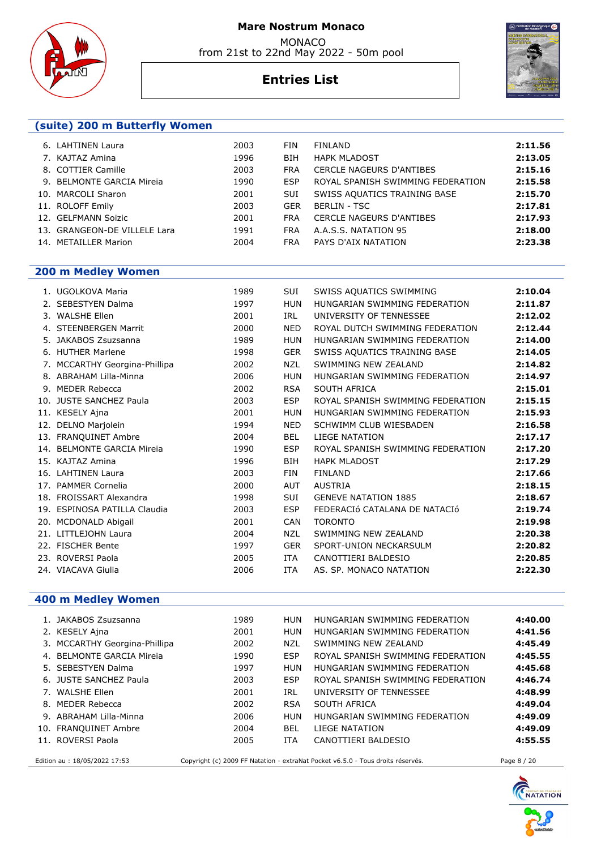





# **Entries List**

# **200 m Medley Women**

|     | 1. UGOLKOVA Maria             | 1989 | SUI        | SWISS AQUATICS SWIMMING           | 2:10.04 |
|-----|-------------------------------|------|------------|-----------------------------------|---------|
|     | 2. SEBESTYEN Dalma            | 1997 | <b>HUN</b> | HUNGARIAN SWIMMING FEDERATION     | 2:11.87 |
| 3.  | <b>WALSHE Ellen</b>           | 2001 | IRL        | UNIVERSITY OF TENNESSEE           | 2:12.02 |
|     | 4. STEENBERGEN Marrit         | 2000 | <b>NED</b> | ROYAL DUTCH SWIMMING FEDERATION   | 2:12.44 |
| 5.  | JAKABOS Zsuzsanna             | 1989 | <b>HUN</b> | HUNGARIAN SWIMMING FEDERATION     | 2:14.00 |
|     | 6. HUTHER Marlene             | 1998 | <b>GER</b> | SWISS AQUATICS TRAINING BASE      | 2:14.05 |
|     | 7. MCCARTHY Georgina-Phillipa | 2002 | <b>NZL</b> | SWIMMING NEW ZEALAND              | 2:14.82 |
|     | 8. ABRAHAM Lilla-Minna        | 2006 | <b>HUN</b> | HUNGARIAN SWIMMING FEDERATION     | 2:14.97 |
| 9.  | <b>MEDER Rebecca</b>          | 2002 | <b>RSA</b> | SOUTH AFRICA                      | 2:15.01 |
| 10. | <b>JUSTE SANCHEZ Paula</b>    | 2003 | <b>ESP</b> | ROYAL SPANISH SWIMMING FEDERATION | 2:15.15 |
|     | 11. KESELY Ajna               | 2001 | <b>HUN</b> | HUNGARIAN SWIMMING FEDERATION     | 2:15.93 |
|     | 12. DELNO Marjolein           | 1994 | <b>NED</b> | SCHWIMM CLUB WIESBADEN            | 2:16.58 |
|     | 13. FRANQUINET Ambre          | 2004 | <b>BEL</b> | <b>LIEGE NATATION</b>             | 2:17.17 |
|     | 14. BELMONTE GARCIA Mireia    | 1990 | <b>ESP</b> | ROYAL SPANISH SWIMMING FEDERATION | 2:17.20 |
|     | 15. KAJTAZ Amina              | 1996 | <b>BIH</b> | <b>HAPK MLADOST</b>               | 2:17.29 |
|     | 16. LAHTINEN Laura            | 2003 | <b>FIN</b> | <b>FINLAND</b>                    | 2:17.66 |
|     | 17. PAMMER Cornelia           | 2000 | <b>AUT</b> | <b>AUSTRIA</b>                    | 2:18.15 |
|     | 18. FROISSART Alexandra       | 1998 | <b>SUI</b> | <b>GENEVE NATATION 1885</b>       | 2:18.67 |
|     | 19. ESPINOSA PATILLA Claudia  | 2003 | <b>ESP</b> | FEDERACIÓ CATALANA DE NATACIÓ     | 2:19.74 |
|     | 20. MCDONALD Abigail          | 2001 | <b>CAN</b> | <b>TORONTO</b>                    | 2:19.98 |
|     | 21. LITTLEJOHN Laura          | 2004 | <b>NZL</b> | SWIMMING NEW ZEALAND              | 2:20.38 |
|     | 22. FISCHER Bente             | 1997 | <b>GER</b> | SPORT-UNION NECKARSULM            | 2:20.82 |
|     | 23. ROVERSI Paola             | 2005 | <b>ITA</b> | CANOTTIERI BALDESIO               | 2:20.85 |
|     | 24. VIACAVA Giulia            | 2006 | <b>ITA</b> | AS. SP. MONACO NATATION           | 2:22.30 |
|     |                               |      |            |                                   |         |

# **400 m Medley Women**

| 1. JAKABOS Zsuzsanna          | 1989 | HUN        | HUNGARIAN SWIMMING FEDERATION                                                   | 4:40.00     |
|-------------------------------|------|------------|---------------------------------------------------------------------------------|-------------|
| 2. KESELY Ajna                | 2001 | HUN        | HUNGARIAN SWIMMING FEDERATION                                                   | 4:41.56     |
| 3. MCCARTHY Georgina-Phillipa | 2002 | NZL        | SWIMMING NEW ZEALAND                                                            | 4:45.49     |
| 4. BELMONTE GARCIA Mireia     | 1990 | <b>ESP</b> | ROYAL SPANISH SWIMMING FEDERATION                                               | 4:45.55     |
| 5. SEBESTYEN Dalma            | 1997 | <b>HUN</b> | HUNGARIAN SWIMMING FEDERATION                                                   | 4:45.68     |
| 6. JUSTE SANCHEZ Paula        | 2003 | <b>ESP</b> | ROYAL SPANISH SWIMMING FEDERATION                                               | 4:46.74     |
| 7. WALSHE Ellen               | 2001 | IRL        | UNIVERSITY OF TENNESSEE                                                         | 4:48.99     |
| 8. MEDER Rebecca              | 2002 | <b>RSA</b> | SOUTH AFRICA                                                                    | 4:49.04     |
| 9. ABRAHAM Lilla-Minna        | 2006 | <b>HUN</b> | HUNGARIAN SWIMMING FEDERATION                                                   | 4:49.09     |
| 10. FRANQUINET Ambre          | 2004 | BEL        | LIEGE NATATION                                                                  | 4:49.09     |
| 11. ROVERSI Paola             | 2005 | <b>ITA</b> | CANOTTIERI BALDESIO                                                             | 4:55.55     |
| Edition au: 18/05/2022 17:53  |      |            | Copyright (c) 2009 FF Natation - extraNat Pocket v6.5.0 - Tous droits réservés. | Page 8 / 20 |

**C**NATATION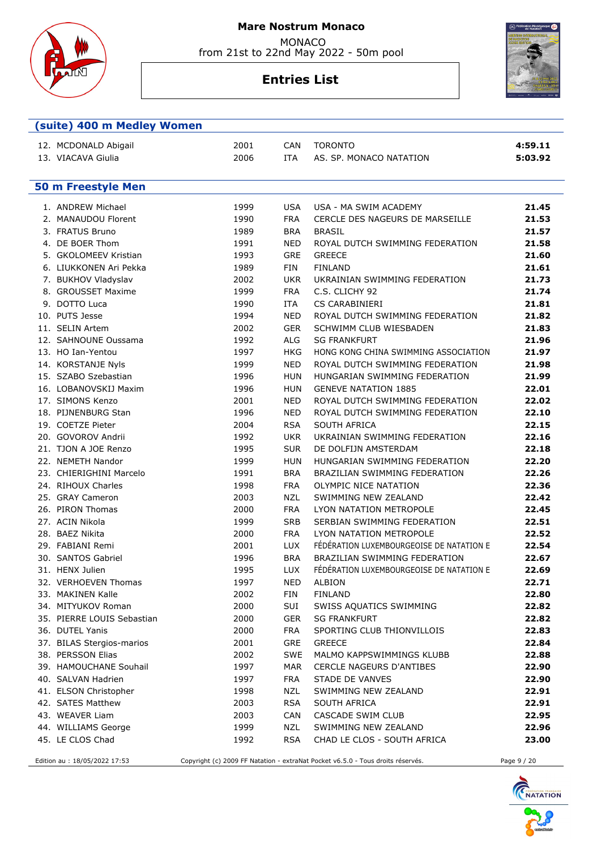

 MONACO from 21st to 22nd May 2022 - 50m pool

# **Entries List**



| (suite) 400 m Medley Women |      |            |                                          |         |
|----------------------------|------|------------|------------------------------------------|---------|
| 12. MCDONALD Abigail       | 2001 | CAN        | <b>TORONTO</b>                           | 4:59.11 |
| 13. VIACAVA Giulia         | 2006 | <b>ITA</b> | AS. SP. MONACO NATATION                  | 5:03.92 |
|                            |      |            |                                          |         |
|                            |      |            |                                          |         |
| <b>50 m Freestyle Men</b>  |      |            |                                          |         |
| 1. ANDREW Michael          | 1999 | <b>USA</b> | USA - MA SWIM ACADEMY                    | 21.45   |
| 2. MANAUDOU Florent        | 1990 | <b>FRA</b> | CERCLE DES NAGEURS DE MARSEILLE          | 21.53   |
| 3. FRATUS Bruno            | 1989 | <b>BRA</b> | <b>BRASIL</b>                            | 21.57   |
| 4. DE BOER Thom            | 1991 | NED        | ROYAL DUTCH SWIMMING FEDERATION          | 21.58   |
| 5. GKOLOMEEV Kristian      | 1993 | <b>GRE</b> | <b>GREECE</b>                            | 21.60   |
| 6. LIUKKONEN Ari Pekka     | 1989 | <b>FIN</b> | <b>FINLAND</b>                           | 21.61   |
| 7. BUKHOV Vladyslav        | 2002 | <b>UKR</b> | UKRAINIAN SWIMMING FEDERATION            | 21.73   |
| 8. GROUSSET Maxime         | 1999 | <b>FRA</b> | C.S. CLICHY 92                           | 21.74   |
| 9. DOTTO Luca              | 1990 | ITA        | <b>CS CARABINIERI</b>                    | 21.81   |
| 10. PUTS Jesse             | 1994 | <b>NED</b> | ROYAL DUTCH SWIMMING FEDERATION          | 21.82   |
| 11. SELIN Artem            | 2002 | <b>GER</b> | SCHWIMM CLUB WIESBADEN                   | 21.83   |
| 12. SAHNOUNE Oussama       | 1992 | ALG        | <b>SG FRANKFURT</b>                      | 21.96   |
| 13. HO Ian-Yentou          | 1997 | HKG        | HONG KONG CHINA SWIMMING ASSOCIATION     | 21.97   |
| 14. KORSTANJE Nyls         | 1999 | <b>NED</b> | ROYAL DUTCH SWIMMING FEDERATION          | 21.98   |
| 15. SZABO Szebastian       | 1996 | HUN        | HUNGARIAN SWIMMING FEDERATION            | 21.99   |
| 16. LOBANOVSKIJ Maxim      | 1996 | HUN        | <b>GENEVE NATATION 1885</b>              | 22.01   |
| 17. SIMONS Kenzo           | 2001 | <b>NED</b> | ROYAL DUTCH SWIMMING FEDERATION          | 22.02   |
| 18. PIJNENBURG Stan        | 1996 | <b>NED</b> | ROYAL DUTCH SWIMMING FEDERATION          | 22.10   |
| 19. COETZE Pieter          | 2004 | <b>RSA</b> | SOUTH AFRICA                             | 22.15   |
| 20. GOVOROV Andrii         | 1992 | <b>UKR</b> | UKRAINIAN SWIMMING FEDERATION            | 22.16   |
| 21. TJON A JOE Renzo       | 1995 | <b>SUR</b> | DE DOLFIJN AMSTERDAM                     | 22.18   |
| 22. NEMETH Nandor          | 1999 | HUN        | HUNGARIAN SWIMMING FEDERATION            | 22.20   |
| 23. CHIERIGHINI Marcelo    | 1991 | <b>BRA</b> | <b>BRAZILIAN SWIMMING FEDERATION</b>     | 22.26   |
| 24. RIHOUX Charles         | 1998 | <b>FRA</b> | OLYMPIC NICE NATATION                    | 22.36   |
| 25. GRAY Cameron           | 2003 | <b>NZL</b> | SWIMMING NEW ZEALAND                     | 22.42   |
| 26. PIRON Thomas           | 2000 | <b>FRA</b> | LYON NATATION METROPOLE                  | 22.45   |
| 27. ACIN Nikola            | 1999 | <b>SRB</b> | SERBIAN SWIMMING FEDERATION              | 22.51   |
| 28. BAEZ Nikita            | 2000 | <b>FRA</b> | LYON NATATION METROPOLE                  | 22.52   |
| 29. FABIANI Remi           | 2001 | <b>LUX</b> | FÉDÉRATION LUXEMBOURGEOISE DE NATATION E | 22.54   |
| 30. SANTOS Gabriel         | 1996 | <b>BRA</b> | BRAZILIAN SWIMMING FEDERATION            | 22.67   |
| 31. HENX Julien            | 1995 | <b>LUX</b> | FÉDÉRATION LUXEMBOURGEOISE DE NATATION E | 22.69   |
| 32. VERHOEVEN Thomas       | 1997 | NED        | ALBION                                   | 22.71   |
| 33. MAKINEN Kalle          | 2002 | FIN        | <b>FINLAND</b>                           | 22.80   |
| 34. MITYUKOV Roman         | 2000 | SUI        | SWISS AQUATICS SWIMMING                  | 22.82   |
| 35. PIERRE LOUIS Sebastian | 2000 | <b>GER</b> | <b>SG FRANKFURT</b>                      | 22.82   |
| 36. DUTEL Yanis            | 2000 | <b>FRA</b> | SPORTING CLUB THIONVILLOIS               | 22.83   |
| 37. BILAS Stergios-marios  | 2001 | <b>GRE</b> | <b>GREECE</b>                            | 22.84   |
| 38. PERSSON Elias          | 2002 | <b>SWE</b> | MALMO KAPPSWIMMINGS KLUBB                | 22.88   |
| 39. HAMOUCHANE Souhail     | 1997 | <b>MAR</b> | CERCLE NAGEURS D'ANTIBES                 | 22.90   |
| 40. SALVAN Hadrien         | 1997 | <b>FRA</b> | <b>STADE DE VANVES</b>                   | 22.90   |
| 41. ELSON Christopher      | 1998 | <b>NZL</b> | SWIMMING NEW ZEALAND                     | 22.91   |
| 42. SATES Matthew          | 2003 | <b>RSA</b> | SOUTH AFRICA                             | 22.91   |
| 43. WEAVER Liam            | 2003 | <b>CAN</b> | CASCADE SWIM CLUB                        | 22.95   |
| 44. WILLIAMS George        | 1999 | <b>NZL</b> | SWIMMING NEW ZEALAND                     | 22.96   |
| 45. LE CLOS Chad           | 1992 | <b>RSA</b> | CHAD LE CLOS - SOUTH AFRICA              | 23.00   |
|                            |      |            |                                          |         |

Edition au : 18/05/2022 17:53 Copyright (c) 2009 FF Natation - extraNat Pocket v6.5.0 - Tous droits réservés. Page 9 / 20

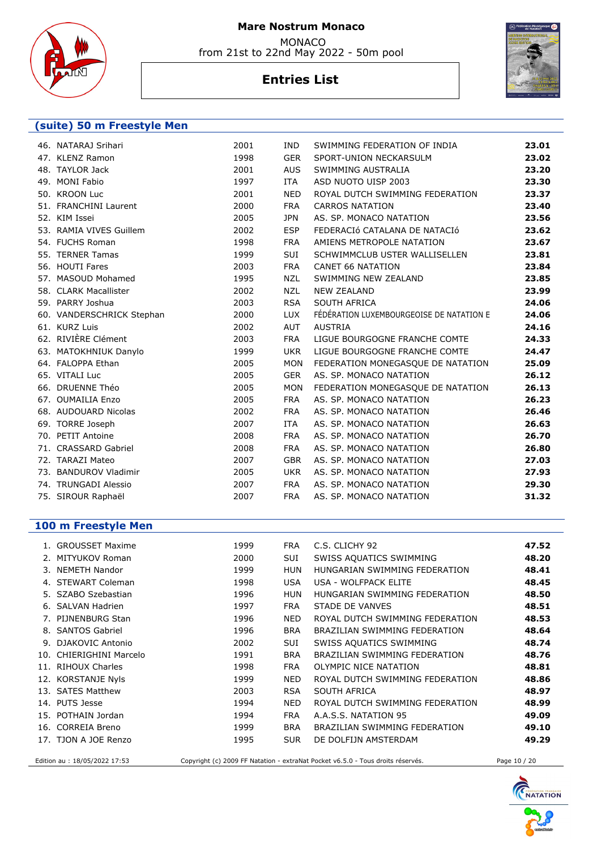

from 21st to 22nd May 2022 - 50m pool

# **Entries List**



#### **(suite) 50 m Freestyle Men**

| 46. NATARAJ Srihari       | 2001 | IND.       | SWIMMING FEDERATION OF INDIA             | 23.01 |
|---------------------------|------|------------|------------------------------------------|-------|
| 47. KLENZ Ramon           | 1998 | <b>GER</b> | SPORT-UNION NECKARSULM                   | 23.02 |
| 48. TAYLOR Jack           | 2001 | <b>AUS</b> | SWIMMING AUSTRALIA                       | 23.20 |
| 49. MONI Fabio            | 1997 | <b>ITA</b> | ASD NUOTO UISP 2003                      | 23.30 |
| 50. KROON Luc             | 2001 | <b>NED</b> | ROYAL DUTCH SWIMMING FEDERATION          | 23.37 |
| 51. FRANCHINI Laurent     | 2000 | <b>FRA</b> | <b>CARROS NATATION</b>                   | 23.40 |
| 52. KIM Issei             | 2005 | <b>JPN</b> | AS. SP. MONACO NATATION                  | 23.56 |
| 53. RAMIA VIVES Guillem   | 2002 | <b>ESP</b> | FEDERACIÓ CATALANA DE NATACIÓ            | 23.62 |
| 54. FUCHS Roman           | 1998 | <b>FRA</b> | AMIENS METROPOLE NATATION                | 23.67 |
| 55. TERNER Tamas          | 1999 | SUI        | SCHWIMMCLUB USTER WALLISELLEN            | 23.81 |
| 56. HOUTI Fares           | 2003 | <b>FRA</b> | <b>CANET 66 NATATION</b>                 | 23.84 |
| 57. MASOUD Mohamed        | 1995 | <b>NZL</b> | SWIMMING NEW ZEALAND                     | 23.85 |
| 58. CLARK Macallister     | 2002 | <b>NZL</b> | <b>NEW ZEALAND</b>                       | 23.99 |
| 59. PARRY Joshua          | 2003 | <b>RSA</b> | SOUTH AFRICA                             | 24.06 |
| 60. VANDERSCHRICK Stephan | 2000 | <b>LUX</b> | FÉDÉRATION LUXEMBOURGEOISE DE NATATION E | 24.06 |
| 61. KURZ Luis             | 2002 | <b>AUT</b> | <b>AUSTRIA</b>                           | 24.16 |
| 62. RIVIÈRE Clément       | 2003 | <b>FRA</b> | LIGUE BOURGOGNE FRANCHE COMTE            | 24.33 |
| 63. MATOKHNIUK Danylo     | 1999 | <b>UKR</b> | LIGUE BOURGOGNE FRANCHE COMTE            | 24.47 |
| 64. FALOPPA Ethan         | 2005 | <b>MON</b> | FEDERATION MONEGASQUE DE NATATION        | 25.09 |
| 65. VITALI Luc            | 2005 | <b>GER</b> | AS. SP. MONACO NATATION                  | 26.12 |
| 66. DRUENNE Théo          | 2005 | <b>MON</b> | FEDERATION MONEGASQUE DE NATATION        | 26.13 |
| 67. OUMAILIA Enzo         | 2005 | <b>FRA</b> | AS. SP. MONACO NATATION                  | 26.23 |
| 68. AUDOUARD Nicolas      | 2002 | <b>FRA</b> | AS. SP. MONACO NATATION                  | 26.46 |
| 69. TORRE Joseph          | 2007 | <b>ITA</b> | AS. SP. MONACO NATATION                  | 26.63 |
| 70. PETIT Antoine         | 2008 | <b>FRA</b> | AS. SP. MONACO NATATION                  | 26.70 |
| 71. CRASSARD Gabriel      | 2008 | <b>FRA</b> | AS. SP. MONACO NATATION                  | 26.80 |
| 72. TARAZI Mateo          | 2007 | <b>GBR</b> | AS. SP. MONACO NATATION                  | 27.03 |
| 73. BANDUROV Vladimir     | 2005 | <b>UKR</b> | AS. SP. MONACO NATATION                  | 27.93 |
| 74. TRUNGADI Alessio      | 2007 | <b>FRA</b> | AS. SP. MONACO NATATION                  | 29.30 |
| 75. SIROUR Raphaël        | 2007 | <b>FRA</b> | AS. SP. MONACO NATATION                  | 31.32 |
|                           |      |            |                                          |       |

### **100 m Freestyle Men**

|     | 1. GROUSSET Maxime     | 1999 | <b>FRA</b> | C.S. CLICHY 92                  | 47.52 |
|-----|------------------------|------|------------|---------------------------------|-------|
|     | 2. MITYUKOV Roman      | 2000 | SUI        | SWISS AQUATICS SWIMMING         | 48.20 |
|     | 3. NEMETH Nandor       | 1999 | <b>HUN</b> | HUNGARIAN SWIMMING FEDERATION   | 48.41 |
| 4.  | <b>STEWART Coleman</b> | 1998 | <b>USA</b> | USA - WOLFPACK ELITE            | 48.45 |
|     | 5. SZABO Szebastian    | 1996 | HUN        | HUNGARIAN SWIMMING FEDERATION   | 48.50 |
| 6.  | SALVAN Hadrien         | 1997 | <b>FRA</b> | STADE DE VANVES                 | 48.51 |
|     | 7. PIJNENBURG Stan     | 1996 | NED.       | ROYAL DUTCH SWIMMING FEDERATION | 48.53 |
|     | 8. SANTOS Gabriel      | 1996 | <b>BRA</b> | BRAZILIAN SWIMMING FEDERATION   | 48.64 |
|     | 9. DJAKOVIC Antonio    | 2002 | <b>SUI</b> | SWISS AQUATICS SWIMMING         | 48.74 |
| 10. | CHIERIGHINI Marcelo    | 1991 | <b>BRA</b> | BRAZILIAN SWIMMING FEDERATION   | 48.76 |
|     | 11. RIHOUX Charles     | 1998 | <b>FRA</b> | OLYMPIC NICE NATATION           | 48.81 |
|     | 12. KORSTANJE Nyls     | 1999 | NED.       | ROYAL DUTCH SWIMMING FEDERATION | 48.86 |
|     | 13. SATES Matthew      | 2003 | <b>RSA</b> | SOUTH AFRICA                    | 48.97 |
|     | 14. PUTS Jesse         | 1994 | <b>NED</b> | ROYAL DUTCH SWIMMING FEDERATION | 48.99 |
|     | 15. POTHAIN Jordan     | 1994 | <b>FRA</b> | A.A.S.S. NATATION 95            | 49.09 |
|     | 16. CORREIA Breno      | 1999 | <b>BRA</b> | BRAZILIAN SWIMMING FEDERATION   | 49.10 |
|     | 17. TJON A JOE Renzo   | 1995 | <b>SUR</b> | DE DOLFIJN AMSTERDAM            | 49.29 |
|     |                        |      |            |                                 |       |

Edition au : 18/05/2022 17:53 Copyright (c) 2009 FF Natation - extraNat Pocket v6.5.0 - Tous droits réservés. Page 10 / 20

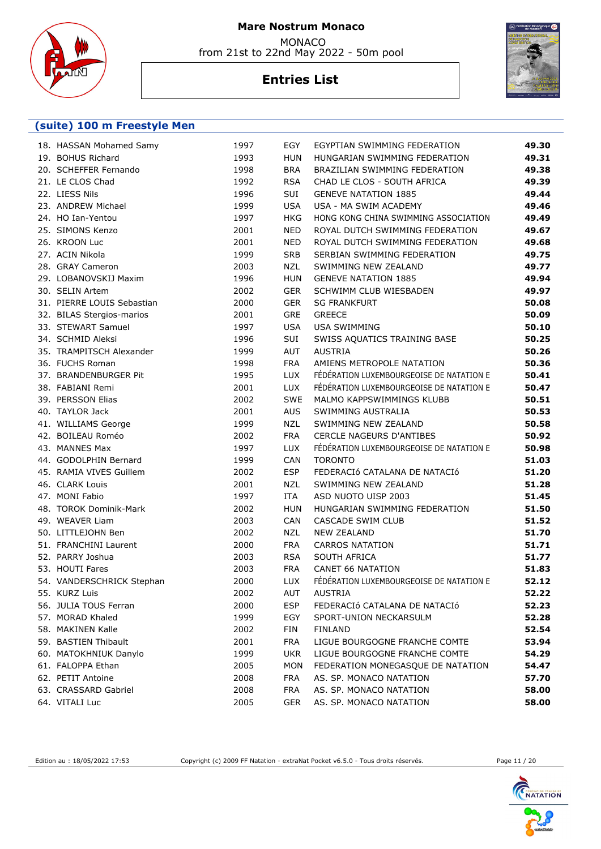

 MONACO from 21st to 22nd May 2022 - 50m pool

# **Entries List**



#### **(suite) 100 m Freestyle Men**

| 18. HASSAN Mohamed Samy    | 1997 | EGY        | EGYPTIAN SWIMMING FEDERATION             | 49.30 |
|----------------------------|------|------------|------------------------------------------|-------|
| 19. BOHUS Richard          | 1993 | <b>HUN</b> | HUNGARIAN SWIMMING FEDERATION            | 49.31 |
| 20. SCHEFFER Fernando      | 1998 | <b>BRA</b> | BRAZILIAN SWIMMING FEDERATION            | 49.38 |
| 21. LE CLOS Chad           | 1992 | <b>RSA</b> | CHAD LE CLOS - SOUTH AFRICA              | 49.39 |
| 22. LIESS Nils             | 1996 | SUI        | <b>GENEVE NATATION 1885</b>              | 49.44 |
| 23. ANDREW Michael         | 1999 | <b>USA</b> | USA - MA SWIM ACADEMY                    | 49.46 |
| 24. HO Ian-Yentou          | 1997 | <b>HKG</b> | HONG KONG CHINA SWIMMING ASSOCIATION     | 49.49 |
| 25. SIMONS Kenzo           | 2001 | <b>NED</b> | ROYAL DUTCH SWIMMING FEDERATION          | 49.67 |
| 26. KROON Luc              | 2001 | <b>NED</b> | ROYAL DUTCH SWIMMING FEDERATION          | 49.68 |
| 27. ACIN Nikola            | 1999 | <b>SRB</b> | SERBIAN SWIMMING FEDERATION              | 49.75 |
| 28. GRAY Cameron           | 2003 | <b>NZL</b> | SWIMMING NEW ZEALAND                     | 49.77 |
| 29. LOBANOVSKIJ Maxim      | 1996 | <b>HUN</b> | <b>GENEVE NATATION 1885</b>              | 49.94 |
| 30. SELIN Artem            | 2002 | <b>GER</b> | SCHWIMM CLUB WIESBADEN                   | 49.97 |
| 31. PIERRE LOUIS Sebastian | 2000 | <b>GER</b> | <b>SG FRANKFURT</b>                      | 50.08 |
| 32. BILAS Stergios-marios  | 2001 | GRE        | <b>GREECE</b>                            | 50.09 |
| 33. STEWART Samuel         | 1997 | <b>USA</b> | <b>USA SWIMMING</b>                      | 50.10 |
| 34. SCHMID Aleksi          | 1996 | SUI        | SWISS AQUATICS TRAINING BASE             | 50.25 |
| 35. TRAMPITSCH Alexander   | 1999 | AUT        | <b>AUSTRIA</b>                           | 50.26 |
| 36. FUCHS Roman            | 1998 | <b>FRA</b> | AMIENS METROPOLE NATATION                | 50.36 |
| 37. BRANDENBURGER Pit      | 1995 | <b>LUX</b> | FÉDÉRATION LUXEMBOURGEOISE DE NATATION E | 50.41 |
| 38. FABIANI Remi           | 2001 | <b>LUX</b> | FÉDÉRATION LUXEMBOURGEOISE DE NATATION E | 50.47 |
| 39. PERSSON Elias          | 2002 | <b>SWE</b> | MALMO KAPPSWIMMINGS KLUBB                | 50.51 |
| 40. TAYLOR Jack            | 2001 | <b>AUS</b> | SWIMMING AUSTRALIA                       | 50.53 |
| 41. WILLIAMS George        | 1999 | NZL        | SWIMMING NEW ZEALAND                     | 50.58 |
| 42. BOILEAU Roméo          | 2002 | <b>FRA</b> | <b>CERCLE NAGEURS D'ANTIBES</b>          | 50.92 |
| 43. MANNES Max             | 1997 | <b>LUX</b> | FÉDÉRATION LUXEMBOURGEOISE DE NATATION E | 50.98 |
| 44. GODOLPHIN Bernard      | 1999 | CAN        | <b>TORONTO</b>                           | 51.03 |
| 45. RAMIA VIVES Guillem    | 2002 | <b>ESP</b> | FEDERACIÓ CATALANA DE NATACIÓ            | 51.20 |
| 46. CLARK Louis            | 2001 | <b>NZL</b> | SWIMMING NEW ZEALAND                     | 51.28 |
| 47. MONI Fabio             | 1997 | <b>ITA</b> | ASD NUOTO UISP 2003                      | 51.45 |
| 48. TOROK Dominik-Mark     | 2002 | <b>HUN</b> | HUNGARIAN SWIMMING FEDERATION            | 51.50 |
| 49. WEAVER Liam            | 2003 | CAN        | CASCADE SWIM CLUB                        | 51.52 |
| 50. LITTLEJOHN Ben         | 2002 | <b>NZL</b> | <b>NEW ZEALAND</b>                       | 51.70 |
| 51. FRANCHINI Laurent      | 2000 | <b>FRA</b> | <b>CARROS NATATION</b>                   | 51.71 |
| 52. PARRY Joshua           | 2003 | <b>RSA</b> | SOUTH AFRICA                             | 51.77 |
| 53. HOUTI Fares            | 2003 | <b>FRA</b> | <b>CANET 66 NATATION</b>                 | 51.83 |
| 54. VANDERSCHRICK Stephan  | 2000 | <b>LUX</b> | FÉDÉRATION LUXEMBOURGEOISE DE NATATION E | 52.12 |
| 55. KURZ Luis              | 2002 | AUT        | AUSTRIA                                  | 52.22 |
| 56. JULIA TOUS Ferran      | 2000 | <b>ESP</b> | FEDERACIÓ CATALANA DE NATACIÓ            | 52.23 |
| 57. MORAD Khaled           | 1999 | EGY        | SPORT-UNION NECKARSULM                   | 52.28 |
| 58. MAKINEN Kalle          | 2002 | FIN        | <b>FINLAND</b>                           | 52.54 |
| 59. BASTIEN Thibault       | 2001 | <b>FRA</b> | LIGUE BOURGOGNE FRANCHE COMTE            | 53.94 |
| 60. MATOKHNIUK Danylo      | 1999 | UKR.       | LIGUE BOURGOGNE FRANCHE COMTE            | 54.29 |
| 61. FALOPPA Ethan          | 2005 | <b>MON</b> | FEDERATION MONEGASQUE DE NATATION        | 54.47 |
| 62. PETIT Antoine          | 2008 | <b>FRA</b> | AS. SP. MONACO NATATION                  | 57.70 |
| 63. CRASSARD Gabriel       | 2008 | <b>FRA</b> | AS. SP. MONACO NATATION                  | 58.00 |
| 64. VITALI Luc             | 2005 | <b>GER</b> | AS. SP. MONACO NATATION                  | 58.00 |
|                            |      |            |                                          |       |

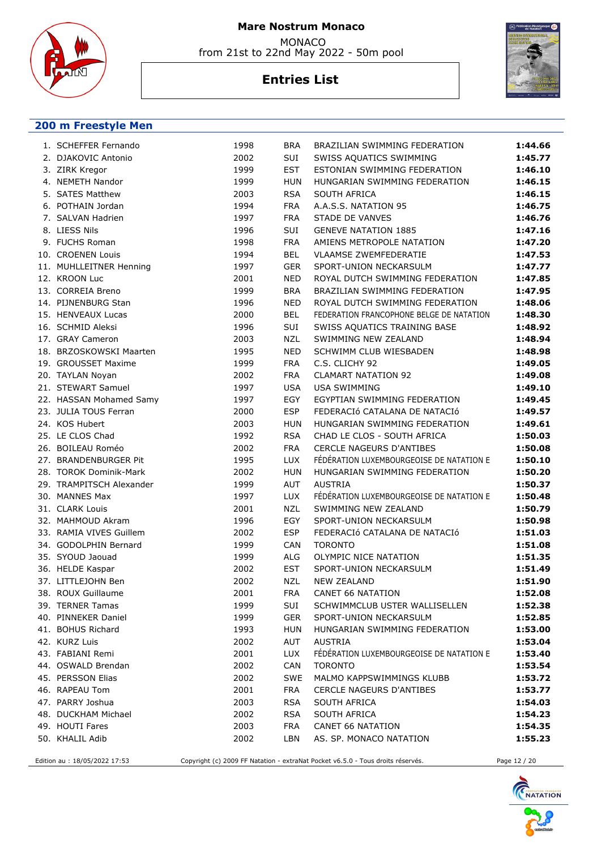

from 21st to 22nd May 2022 - 50m pool

# **Entries List**



#### **200 m Freestyle Men**

| 1. SCHEFFER Fernando     | 1998 | <b>BRA</b> | BRAZILIAN SWIMMING FEDERATION            | 1:44.66 |
|--------------------------|------|------------|------------------------------------------|---------|
| 2. DJAKOVIC Antonio      | 2002 | SUI        | SWISS AQUATICS SWIMMING                  | 1:45.77 |
| 3. ZIRK Kregor           | 1999 | <b>EST</b> | ESTONIAN SWIMMING FEDERATION             | 1:46.10 |
| 4. NEMETH Nandor         | 1999 | <b>HUN</b> | HUNGARIAN SWIMMING FEDERATION            | 1:46.15 |
| 5. SATES Matthew         | 2003 | <b>RSA</b> | <b>SOUTH AFRICA</b>                      | 1:46.15 |
| 6. POTHAIN Jordan        | 1994 | <b>FRA</b> | A.A.S.S. NATATION 95                     | 1:46.75 |
| 7. SALVAN Hadrien        | 1997 | <b>FRA</b> | <b>STADE DE VANVES</b>                   | 1:46.76 |
| 8. LIESS Nils            | 1996 | SUI        | <b>GENEVE NATATION 1885</b>              | 1:47.16 |
| 9. FUCHS Roman           | 1998 | <b>FRA</b> | AMIENS METROPOLE NATATION                | 1:47.20 |
| 10. CROENEN Louis        | 1994 | <b>BEL</b> | <b>VLAAMSE ZWEMFEDERATIE</b>             | 1:47.53 |
| 11. MUHLLEITNER Henning  | 1997 | <b>GER</b> | SPORT-UNION NECKARSULM                   | 1:47.77 |
| 12. KROON Luc            | 2001 | <b>NED</b> | ROYAL DUTCH SWIMMING FEDERATION          | 1:47.85 |
| 13. CORREIA Breno        | 1999 | <b>BRA</b> | BRAZILIAN SWIMMING FEDERATION            | 1:47.95 |
| 14. PIJNENBURG Stan      | 1996 | <b>NED</b> | ROYAL DUTCH SWIMMING FEDERATION          | 1:48.06 |
| 15. HENVEAUX Lucas       | 2000 | <b>BEL</b> | FEDERATION FRANCOPHONE BELGE DE NATATION | 1:48.30 |
| 16. SCHMID Aleksi        | 1996 | SUI        | SWISS AQUATICS TRAINING BASE             | 1:48.92 |
| 17. GRAY Cameron         | 2003 | <b>NZL</b> | SWIMMING NEW ZEALAND                     | 1:48.94 |
| 18. BRZOSKOWSKI Maarten  | 1995 | <b>NED</b> | SCHWIMM CLUB WIESBADEN                   | 1:48.98 |
| 19. GROUSSET Maxime      | 1999 | <b>FRA</b> | C.S. CLICHY 92                           | 1:49.05 |
| 20. TAYLAN Noyan         | 2002 | <b>FRA</b> | <b>CLAMART NATATION 92</b>               | 1:49.08 |
| 21. STEWART Samuel       | 1997 | <b>USA</b> | <b>USA SWIMMING</b>                      | 1:49.10 |
| 22. HASSAN Mohamed Samy  | 1997 | EGY        | EGYPTIAN SWIMMING FEDERATION             | 1:49.45 |
| 23. JULIA TOUS Ferran    | 2000 | <b>ESP</b> | FEDERACIÓ CATALANA DE NATACIÓ            | 1:49.57 |
| 24. KOS Hubert           | 2003 | <b>HUN</b> | HUNGARIAN SWIMMING FEDERATION            | 1:49.61 |
| 25. LE CLOS Chad         | 1992 | <b>RSA</b> | CHAD LE CLOS - SOUTH AFRICA              | 1:50.03 |
| 26. BOILEAU Roméo        | 2002 | <b>FRA</b> | <b>CERCLE NAGEURS D'ANTIBES</b>          | 1:50.08 |
| 27. BRANDENBURGER Pit    | 1995 | LUX        | FÉDÉRATION LUXEMBOURGEOISE DE NATATION E | 1:50.10 |
| 28. TOROK Dominik-Mark   | 2002 | <b>HUN</b> | HUNGARIAN SWIMMING FEDERATION            | 1:50.20 |
| 29. TRAMPITSCH Alexander | 1999 | AUT        | <b>AUSTRIA</b>                           | 1:50.37 |
| 30. MANNES Max           | 1997 | LUX        | FÉDÉRATION LUXEMBOURGEOISE DE NATATION E | 1:50.48 |
| 31. CLARK Louis          | 2001 | <b>NZL</b> | SWIMMING NEW ZEALAND                     | 1:50.79 |
| 32. MAHMOUD Akram        | 1996 | EGY        | SPORT-UNION NECKARSULM                   | 1:50.98 |
| 33. RAMIA VIVES Guillem  | 2002 | <b>ESP</b> | FEDERACIÓ CATALANA DE NATACIÓ            | 1:51.03 |
| 34. GODOLPHIN Bernard    | 1999 | CAN        | <b>TORONTO</b>                           | 1:51.08 |
| 35. SYOUD Jaouad         | 1999 | ALG        | OLYMPIC NICE NATATION                    | 1:51.35 |
| 36. HELDE Kaspar         | 2002 | <b>EST</b> | SPORT-UNION NECKARSULM                   | 1:51.49 |
| 37. LITTLEJOHN Ben       | 2002 | <b>NZL</b> | <b>NEW ZEALAND</b>                       | 1:51.90 |
| 38. ROUX Guillaume       | 2001 | <b>FRA</b> | CANET 66 NATATION                        | 1:52.08 |
| 39. TERNER Tamas         | 1999 | SUI        | SCHWIMMCLUB USTER WALLISELLEN            | 1:52.38 |
| 40. PINNEKER Daniel      | 1999 | <b>GER</b> | SPORT-UNION NECKARSULM                   | 1:52.85 |
| 41. BOHUS Richard        | 1993 | <b>HUN</b> | HUNGARIAN SWIMMING FEDERATION            | 1:53.00 |
| 42. KURZ Luis            | 2002 | AUT        | AUSTRIA                                  | 1:53.04 |
| 43. FABIANI Remi         | 2001 | <b>LUX</b> | FÉDÉRATION LUXEMBOURGEOISE DE NATATION E | 1:53.40 |
| 44. OSWALD Brendan       | 2002 | <b>CAN</b> | <b>TORONTO</b>                           | 1:53.54 |
| 45. PERSSON Elias        | 2002 | <b>SWE</b> | MALMO KAPPSWIMMINGS KLUBB                | 1:53.72 |
| 46. RAPEAU Tom           | 2001 | <b>FRA</b> | <b>CERCLE NAGEURS D'ANTIBES</b>          | 1:53.77 |
| 47. PARRY Joshua         | 2003 | <b>RSA</b> | SOUTH AFRICA                             | 1:54.03 |
| 48. DUCKHAM Michael      | 2002 | <b>RSA</b> | SOUTH AFRICA                             | 1:54.23 |
| 49. HOUTI Fares          | 2003 | <b>FRA</b> | CANET 66 NATATION                        | 1:54.35 |
| 50. KHALIL Adib          | 2002 | LBN        | AS. SP. MONACO NATATION                  | 1:55.23 |
|                          |      |            |                                          |         |

Edition au : 18/05/2022 17:53 Copyright (c) 2009 FF Natation - extraNat Pocket v6.5.0 - Tous droits réservés. Page 12 / 20

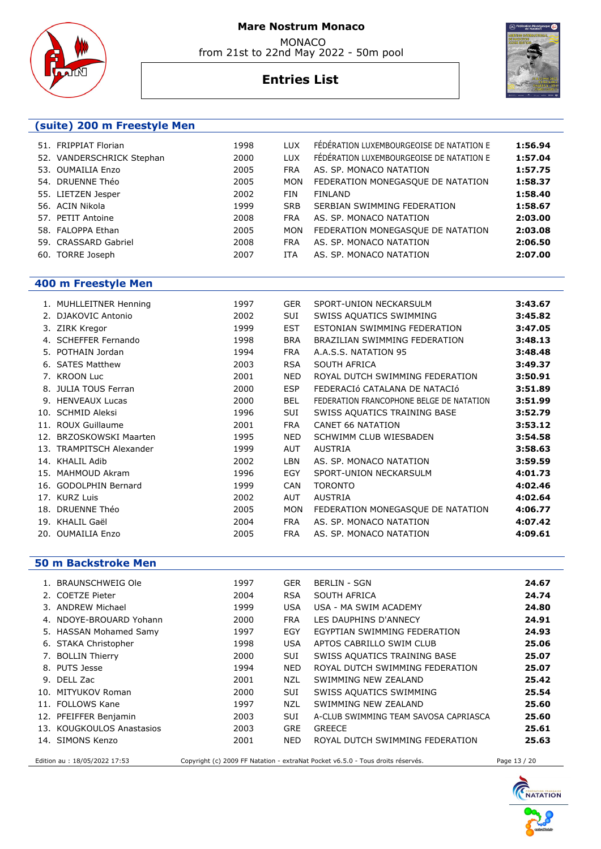





# **Entries List**

### **(suite) 200 m Freestyle Men**

| 51. FRIPPIAT Florian      | 1998 | <b>LUX</b> | FÉDÉRATION LUXEMBOURGEOISE DE NATATION E | 1:56.94 |
|---------------------------|------|------------|------------------------------------------|---------|
| 52. VANDERSCHRICK Stephan | 2000 | <b>LUX</b> | FÉDÉRATION LUXEMBOURGEOISE DE NATATION E | 1:57.04 |
| 53. OUMAILIA Enzo         | 2005 | <b>FRA</b> | AS. SP. MONACO NATATION                  | 1:57.75 |
| 54. DRUENNE Théo          | 2005 | <b>MON</b> | FEDERATION MONEGASQUE DE NATATION        | 1:58.37 |
| 55. LIETZEN Jesper        | 2002 | FIN        | <b>FINLAND</b>                           | 1:58.40 |
| 56. ACIN Nikola           | 1999 | <b>SRB</b> | SERBIAN SWIMMING FEDERATION              | 1:58.67 |
| 57. PETIT Antoine         | 2008 | <b>FRA</b> | AS. SP. MONACO NATATION                  | 2:03.00 |
| 58. FALOPPA Ethan         | 2005 | <b>MON</b> | FEDERATION MONEGASQUE DE NATATION        | 2:03.08 |
| 59. CRASSARD Gabriel      | 2008 | <b>FRA</b> | AS. SP. MONACO NATATION                  | 2:06.50 |
| 60. TORRE Joseph          | 2007 | ITA        | AS. SP. MONACO NATATION                  | 2:07.00 |
|                           |      |            |                                          |         |

#### **400 m Freestyle Men**

|     | 1. MUHLLEITNER Henning      | 1997 | <b>GER</b> | SPORT-UNION NECKARSULM                   | 3:43.67 |
|-----|-----------------------------|------|------------|------------------------------------------|---------|
|     | DJAKOVIC Antonio            | 2002 | <b>SUI</b> | SWISS AQUATICS SWIMMING                  | 3:45.82 |
| 3.  | ZIRK Kregor                 | 1999 | <b>EST</b> | ESTONIAN SWIMMING FEDERATION             | 3:47.05 |
| 4.  | <b>SCHEFFER Fernando</b>    | 1998 | <b>BRA</b> | BRAZILIAN SWIMMING FEDERATION            | 3:48.13 |
|     | 5. POTHAIN Jordan           | 1994 | <b>FRA</b> | A.A.S.S. NATATION 95                     | 3:48.48 |
| 6.  | <b>SATES Matthew</b>        | 2003 | <b>RSA</b> | SOUTH AFRICA                             | 3:49.37 |
|     | 7. KROON Luc                | 2001 | <b>NED</b> | ROYAL DUTCH SWIMMING FEDERATION          | 3:50.91 |
| 8.  | <b>JULIA TOUS Ferran</b>    | 2000 | <b>ESP</b> | FEDERACIÓ CATALANA DE NATACIÓ            | 3:51.89 |
| 9.  | <b>HENVEAUX Lucas</b>       | 2000 | <b>BEL</b> | FEDERATION FRANCOPHONE BELGE DE NATATION | 3:51.99 |
| 10. | <b>SCHMID Aleksi</b>        | 1996 | <b>SUI</b> | SWISS AQUATICS TRAINING BASE             | 3:52.79 |
|     | 11. ROUX Guillaume          | 2001 | <b>FRA</b> | <b>CANET 66 NATATION</b>                 | 3:53.12 |
| 12. | <b>BRZOSKOWSKI Maarten</b>  | 1995 | <b>NED</b> | SCHWIMM CLUB WIESBADEN                   | 3:54.58 |
| 13. | <b>TRAMPITSCH Alexander</b> | 1999 | AUT        | <b>AUSTRIA</b>                           | 3:58.63 |
| 14. | KHALIL Adib                 | 2002 | <b>LBN</b> | AS. SP. MONACO NATATION                  | 3:59.59 |
| 15. | MAHMOUD Akram               | 1996 | EGY        | SPORT-UNION NECKARSULM                   | 4:01.73 |
| 16. | <b>GODOLPHIN Bernard</b>    | 1999 | <b>CAN</b> | <b>TORONTO</b>                           | 4:02.46 |
|     | 17. KURZ Luis               | 2002 | <b>AUT</b> | <b>AUSTRIA</b>                           | 4:02.64 |
|     | 18. DRUENNE Théo            | 2005 | <b>MON</b> | FEDERATION MONEGASQUE DE NATATION        | 4:06.77 |
| 19. | KHALIL Gaël                 | 2004 | <b>FRA</b> | AS. SP. MONACO NATATION                  | 4:07.42 |
|     | 20. OUMAILIA Enzo           | 2005 | <b>FRA</b> | AS. SP. MONACO NATATION                  | 4:09.61 |
|     |                             |      |            |                                          |         |

#### **50 m Backstroke Men**

| 1. BRAUNSCHWEIG Ole           | 1997 | <b>GER</b> | BERLIN - SGN                                                                    |              | 24.67 |
|-------------------------------|------|------------|---------------------------------------------------------------------------------|--------------|-------|
| 2. COETZE Pieter              | 2004 | <b>RSA</b> | SOUTH AFRICA                                                                    |              | 24.74 |
| 3. ANDREW Michael             | 1999 | USA        | USA - MA SWIM ACADEMY                                                           |              | 24.80 |
| 4. NDOYE-BROUARD Yohann       | 2000 | <b>FRA</b> | LES DAUPHINS D'ANNECY                                                           |              | 24.91 |
| 5. HASSAN Mohamed Samy        | 1997 | EGY        | EGYPTIAN SWIMMING FEDERATION                                                    |              | 24.93 |
| 6. STAKA Christopher          | 1998 | USA        | APTOS CABRILLO SWIM CLUB                                                        |              | 25.06 |
| 7. BOLLIN Thierry             | 2000 | <b>SUI</b> | SWISS AQUATICS TRAINING BASE                                                    |              | 25.07 |
| 8. PUTS Jesse                 | 1994 | NED.       | ROYAL DUTCH SWIMMING FEDERATION                                                 |              | 25.07 |
| 9. DELL Zac                   | 2001 | NZL.       | SWIMMING NEW ZEALAND                                                            |              | 25.42 |
| 10. MITYUKOV Roman            | 2000 | <b>SUI</b> | SWISS AQUATICS SWIMMING                                                         |              | 25.54 |
| 11. FOLLOWS Kane              | 1997 | NZL.       | SWIMMING NEW ZEALAND                                                            |              | 25.60 |
| 12. PFEIFFER Benjamin         | 2003 | <b>SUI</b> | A-CLUB SWIMMING TEAM SAVOSA CAPRIASCA                                           |              | 25.60 |
| 13. KOUGKOULOS Anastasios     | 2003 | <b>GRE</b> | <b>GREECE</b>                                                                   |              | 25.61 |
| 14. SIMONS Kenzo              | 2001 | NED        | ROYAL DUTCH SWIMMING FEDERATION                                                 |              | 25.63 |
| Edition au : 18/05/2022 17:53 |      |            | Copyright (c) 2009 FF Natation - extraNat Pocket v6.5.0 - Tous droits réservés. | Page 13 / 20 |       |

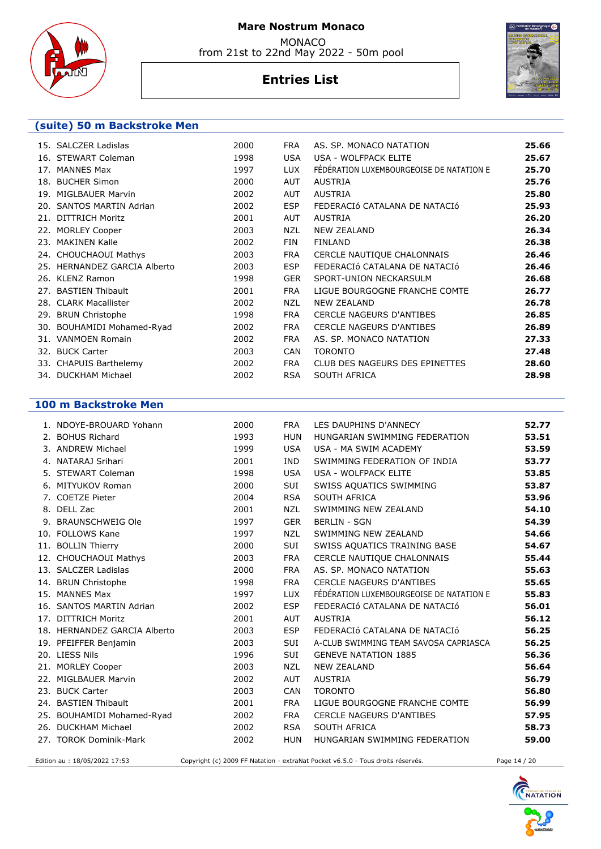

from 21st to 22nd May 2022 - 50m pool

# **Entries List**



#### **(suite) 50 m Backstroke Men**

| 15. SALCZER Ladislas         | 2000 | <b>FRA</b> | AS. SP. MONACO NATATION                  | 25.66 |
|------------------------------|------|------------|------------------------------------------|-------|
| 16. STEWART Coleman          | 1998 | <b>USA</b> | USA - WOLFPACK ELITE                     | 25.67 |
| 17. MANNES Max               | 1997 | LUX        | FÉDÉRATION LUXEMBOURGEOISE DE NATATION E | 25.70 |
| 18. BUCHER Simon             | 2000 | AUT        | AUSTRIA                                  | 25.76 |
| 19. MIGLBAUER Marvin         | 2002 | <b>AUT</b> | <b>AUSTRIA</b>                           | 25.80 |
| 20. SANTOS MARTIN Adrian     | 2002 | <b>ESP</b> | FEDERACIÓ CATALANA DE NATACIÓ            | 25.93 |
| 21. DITTRICH Moritz          | 2001 | AUT        | <b>AUSTRIA</b>                           | 26.20 |
| 22. MORLEY Cooper            | 2003 | NZL        | <b>NEW ZEALAND</b>                       | 26.34 |
| 23. MAKINEN Kalle            | 2002 | FIN        | <b>FINLAND</b>                           | 26.38 |
| 24. CHOUCHAOUI Mathys        | 2003 | <b>FRA</b> | CERCLE NAUTIQUE CHALONNAIS               | 26.46 |
| 25. HERNANDEZ GARCIA Alberto | 2003 | <b>ESP</b> | FEDERACIÓ CATALANA DE NATACIÓ            | 26.46 |
| 26. KLENZ Ramon              | 1998 | <b>GER</b> | SPORT-UNION NECKARSULM                   | 26.68 |
| 27. BASTIEN Thibault         | 2001 | <b>FRA</b> | LIGUE BOURGOGNE FRANCHE COMTE            | 26.77 |
| 28. CLARK Macallister        | 2002 | NZL        | NEW ZEALAND                              | 26.78 |
| 29. BRUN Christophe          | 1998 | <b>FRA</b> | <b>CERCLE NAGEURS D'ANTIBES</b>          | 26.85 |
| 30. BOUHAMIDI Mohamed-Ryad   | 2002 | <b>FRA</b> | <b>CERCLE NAGEURS D'ANTIBES</b>          | 26.89 |
| 31. VANMOEN Romain           | 2002 | <b>FRA</b> | AS. SP. MONACO NATATION                  | 27.33 |
| 32. BUCK Carter              | 2003 | CAN        | <b>TORONTO</b>                           | 27.48 |
| 33. CHAPUIS Barthelemy       | 2002 | FRA        | CLUB DES NAGEURS DES EPINETTES           | 28.60 |
| 34. DUCKHAM Michael          | 2002 | <b>RSA</b> | <b>SOUTH AFRICA</b>                      | 28.98 |

### **100 m Backstroke Men**

| 1. NDOYE-BROUARD Yohann      | 2000 | <b>FRA</b> | LES DAUPHINS D'ANNECY                    | 52.77 |
|------------------------------|------|------------|------------------------------------------|-------|
| 2. BOHUS Richard             | 1993 | <b>HUN</b> | HUNGARIAN SWIMMING FEDERATION            | 53.51 |
| 3. ANDREW Michael            | 1999 | <b>USA</b> | USA - MA SWIM ACADEMY                    | 53.59 |
| 4. NATARAJ Srihari           | 2001 | <b>IND</b> | SWIMMING FEDERATION OF INDIA             | 53.77 |
| 5. STEWART Coleman           | 1998 | <b>USA</b> | USA - WOLFPACK ELITE                     | 53.85 |
| 6. MITYUKOV Roman            | 2000 | <b>SUI</b> | SWISS AQUATICS SWIMMING                  | 53.87 |
| 7. COETZE Pieter             | 2004 | <b>RSA</b> | SOUTH AFRICA                             | 53.96 |
| 8. DELL Zac                  | 2001 | <b>NZL</b> | SWIMMING NEW ZEALAND                     | 54.10 |
| 9. BRAUNSCHWEIG Ole          | 1997 | <b>GER</b> | <b>BERLIN - SGN</b>                      | 54.39 |
| 10. FOLLOWS Kane             | 1997 | NZL        | SWIMMING NEW ZEALAND                     | 54.66 |
| 11. BOLLIN Thierry           | 2000 | <b>SUI</b> | SWISS AQUATICS TRAINING BASE             | 54.67 |
| 12. CHOUCHAOUI Mathys        | 2003 | <b>FRA</b> | CERCLE NAUTIQUE CHALONNAIS               | 55.44 |
| 13. SALCZER Ladislas         | 2000 | <b>FRA</b> | AS. SP. MONACO NATATION                  | 55.63 |
| 14. BRUN Christophe          | 1998 | <b>FRA</b> | <b>CERCLE NAGEURS D'ANTIBES</b>          | 55.65 |
| 15. MANNES Max               | 1997 | <b>LUX</b> | FÉDÉRATION LUXEMBOURGEOISE DE NATATION E | 55.83 |
| 16. SANTOS MARTIN Adrian     | 2002 | <b>ESP</b> | FEDERACIÓ CATALANA DE NATACIÓ            | 56.01 |
| 17. DITTRICH Moritz          | 2001 | <b>AUT</b> | <b>AUSTRIA</b>                           | 56.12 |
| 18. HERNANDEZ GARCIA Alberto | 2003 | <b>ESP</b> | FEDERACIÓ CATALANA DE NATACIÓ            | 56.25 |
| 19. PFEIFFER Benjamin        | 2003 | <b>SUI</b> | A-CLUB SWIMMING TEAM SAVOSA CAPRIASCA    | 56.25 |
| 20. LIESS Nils               | 1996 | <b>SUI</b> | <b>GENEVE NATATION 1885</b>              | 56.36 |
| 21. MORLEY Cooper            | 2003 | <b>NZL</b> | <b>NEW ZEALAND</b>                       | 56.64 |
| 22. MIGLBAUER Marvin         | 2002 | <b>AUT</b> | <b>AUSTRIA</b>                           | 56.79 |
| 23. BUCK Carter              | 2003 | CAN        | <b>TORONTO</b>                           | 56.80 |
| 24. BASTIEN Thibault         | 2001 | <b>FRA</b> | LIGUE BOURGOGNE FRANCHE COMTE            | 56.99 |
| 25. BOUHAMIDI Mohamed-Ryad   | 2002 | <b>FRA</b> | <b>CERCLE NAGEURS D'ANTIBES</b>          | 57.95 |
| 26. DUCKHAM Michael          | 2002 | <b>RSA</b> | SOUTH AFRICA                             | 58.73 |
| 27. TOROK Dominik-Mark       | 2002 | <b>HUN</b> | HUNGARIAN SWIMMING FEDERATION            | 59.00 |
|                              |      |            |                                          |       |

Edition au : 18/05/2022 17:53 Copyright (c) 2009 FF Natation - extraNat Pocket v6.5.0 - Tous droits réservés. Page 14 / 20

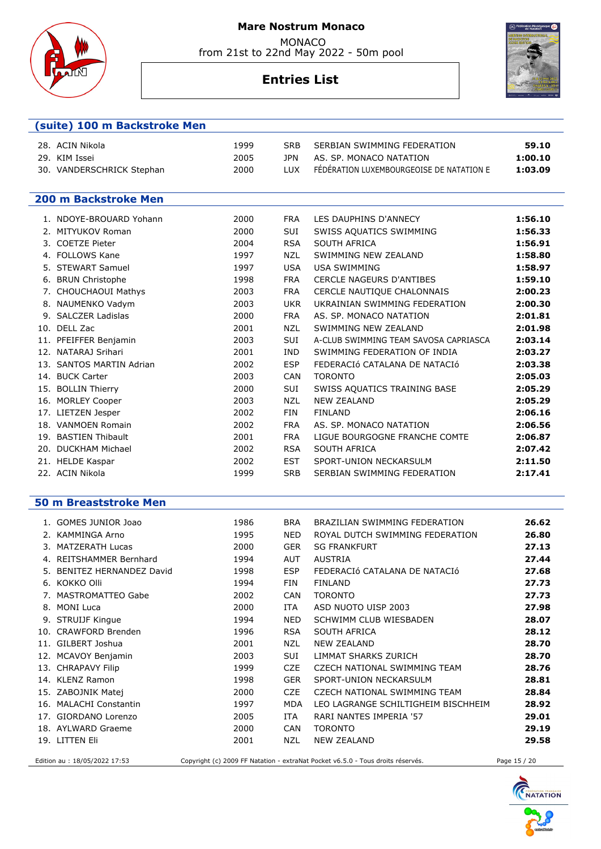

from 21st to 22nd May 2022 - 50m pool

# **Entries List**



#### **(suite) 100 m Backstroke Men**

| 28. ACIN Nikola           | 1999 | SRB. | SERBIAN SWIMMING FEDERATION              | 59.10   |
|---------------------------|------|------|------------------------------------------|---------|
| 29. KIM Issei             | 2005 | 1PN. | AS. SP. MONACO NATATION                  | 1:00.10 |
| 30. VANDERSCHRICK Stephan | 2000 | HIX. | FÉDÉRATION LUXEMBOURGEOISE DE NATATION E | 1:03.09 |

#### **200 m Backstroke Men**

|     | 1. NDOYE-BROUARD Yohann  | 2000 | <b>FRA</b> | LES DAUPHINS D'ANNECY                 | 1:56.10 |
|-----|--------------------------|------|------------|---------------------------------------|---------|
|     | <b>MITYUKOV Roman</b>    | 2000 | SUI        | SWISS AQUATICS SWIMMING               | 1:56.33 |
|     | 3. COETZE Pieter         | 2004 | <b>RSA</b> | SOUTH AFRICA                          | 1:56.91 |
|     | 4. FOLLOWS Kane          | 1997 | <b>NZL</b> | SWIMMING NEW ZEALAND                  | 1:58.80 |
| 5.  | <b>STEWART Samuel</b>    | 1997 | <b>USA</b> | <b>USA SWIMMING</b>                   | 1:58.97 |
| 6.  | <b>BRUN Christophe</b>   | 1998 | <b>FRA</b> | <b>CERCLE NAGEURS D'ANTIBES</b>       | 1:59.10 |
|     | 7. CHOUCHAOUI Mathys     | 2003 | <b>FRA</b> | CERCLE NAUTIQUE CHALONNAIS            | 2:00.23 |
|     | 8. NAUMENKO Vadym        | 2003 | <b>UKR</b> | UKRAINIAN SWIMMING FEDERATION         | 2:00.30 |
|     | 9. SALCZER Ladislas      | 2000 | <b>FRA</b> | AS. SP. MONACO NATATION               | 2:01.81 |
| 10. | DELL Zac                 | 2001 | <b>NZL</b> | SWIMMING NEW ZEALAND                  | 2:01.98 |
|     | 11. PFEIFFER Benjamin    | 2003 | <b>SUI</b> | A-CLUB SWIMMING TEAM SAVOSA CAPRIASCA | 2:03.14 |
|     | 12. NATARAJ Srihari      | 2001 | <b>IND</b> | SWIMMING FEDERATION OF INDIA          | 2:03.27 |
|     | 13. SANTOS MARTIN Adrian | 2002 | <b>ESP</b> | FEDERACIÓ CATALANA DE NATACIÓ         | 2:03.38 |
|     | 14. BUCK Carter          | 2003 | <b>CAN</b> | <b>TORONTO</b>                        | 2:05.03 |
| 15. | <b>BOLLIN Thierry</b>    | 2000 | SUI        | SWISS AQUATICS TRAINING BASE          | 2:05.29 |
|     | 16. MORLEY Cooper        | 2003 | <b>NZL</b> | <b>NEW ZEALAND</b>                    | 2:05.29 |
|     | 17. LIETZEN Jesper       | 2002 | <b>FIN</b> | <b>FINLAND</b>                        | 2:06.16 |
|     | 18. VANMOEN Romain       | 2002 | <b>FRA</b> | AS. SP. MONACO NATATION               | 2:06.56 |
|     | 19. BASTIEN Thibault     | 2001 | <b>FRA</b> | LIGUE BOURGOGNE FRANCHE COMTE         | 2:06.87 |
|     | 20. DUCKHAM Michael      | 2002 | <b>RSA</b> | SOUTH AFRICA                          | 2:07.42 |
| 21. | <b>HELDE Kaspar</b>      | 2002 | <b>EST</b> | SPORT-UNION NECKARSULM                | 2:11.50 |
|     | 22. ACIN Nikola          | 1999 | <b>SRB</b> | SERBIAN SWIMMING FEDERATION           | 2:17.41 |

#### **50 m Breaststroke Men**

|     | 1. GOMES JUNIOR Joao          | 1986 | <b>BRA</b> | BRAZILIAN SWIMMING FEDERATION                                                   | 26.62        |
|-----|-------------------------------|------|------------|---------------------------------------------------------------------------------|--------------|
|     | 2. KAMMINGA Arno              | 1995 | <b>NED</b> | ROYAL DUTCH SWIMMING FEDERATION                                                 | 26.80        |
| 3.  | <b>MATZERATH Lucas</b>        | 2000 | <b>GER</b> | <b>SG FRANKFURT</b>                                                             | 27.13        |
| 4   | <b>REITSHAMMER Bernhard</b>   | 1994 | <b>AUT</b> | <b>AUSTRIA</b>                                                                  | 27.44        |
| 5.  | BENITEZ HERNANDEZ David       | 1998 | <b>ESP</b> | FEDERACIÓ CATALANA DE NATACIÓ                                                   | 27.68        |
| 6.  | KOKKO Olli                    | 1994 | FIN        | <b>FINLAND</b>                                                                  | 27.73        |
|     | 7. MASTROMATTEO Gabe          | 2002 | <b>CAN</b> | <b>TORONTO</b>                                                                  | 27.73        |
| 8.  | <b>MONI Luca</b>              | 2000 | <b>ITA</b> | ASD NUOTO UISP 2003                                                             | 27.98        |
| 9.  | <b>STRUIJF Kingue</b>         | 1994 | <b>NED</b> | SCHWIMM CLUB WIESBADEN                                                          | 28.07        |
| 10. | <b>CRAWFORD Brenden</b>       | 1996 | <b>RSA</b> | SOUTH AFRICA                                                                    | 28.12        |
| 11. | GILBERT Joshua                | 2001 | NZL        | <b>NEW ZEALAND</b>                                                              | 28.70        |
|     | 12. MCAVOY Benjamin           | 2003 | <b>SUI</b> | <b>LIMMAT SHARKS ZURICH</b>                                                     | 28.70        |
| 13. | <b>CHRAPAVY Filip</b>         | 1999 | <b>CZE</b> | CZECH NATIONAL SWIMMING TEAM                                                    | 28.76        |
|     | 14. KLENZ Ramon               | 1998 | <b>GER</b> | SPORT-UNION NECKARSULM                                                          | 28.81        |
|     | 15. ZABOJNIK Matej            | 2000 | <b>CZE</b> | CZECH NATIONAL SWIMMING TEAM                                                    | 28.84        |
| 16. | <b>MALACHI Constantin</b>     | 1997 | <b>MDA</b> | LEO LAGRANGE SCHILTIGHEIM BISCHHEIM                                             | 28.92        |
| 17. | GIORDANO Lorenzo              | 2005 | ITA        | RARI NANTES IMPERIA '57                                                         | 29.01        |
|     | 18. AYLWARD Graeme            | 2000 | <b>CAN</b> | <b>TORONTO</b>                                                                  | 29.19        |
|     | 19. LITTEN Eli                | 2001 | <b>NZL</b> | <b>NEW ZEALAND</b>                                                              | 29.58        |
|     | Edition au : 18/05/2022 17:53 |      |            | Copyright (c) 2009 FF Natation - extraNat Pocket v6.5.0 - Tous droits réservés. | Page 15 / 20 |

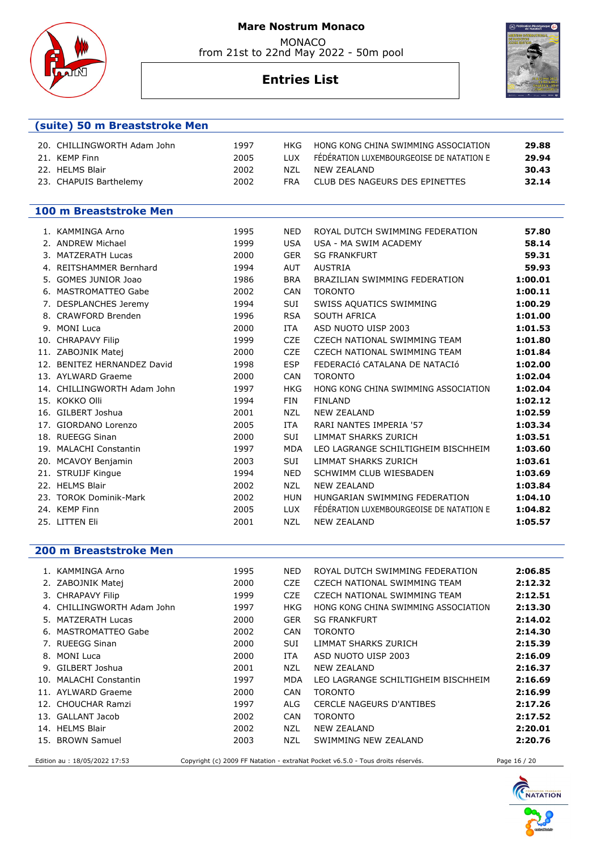MONACO from 21st to 22nd May 2022 - 50m pool



## **Entries List**



#### **(suite) 50 m Breaststroke Men**

| 20. CHILLINGWORTH Adam John | 1997 | HKG        | HONG KONG CHINA SWIMMING ASSOCIATION     | 29.88 |
|-----------------------------|------|------------|------------------------------------------|-------|
| 21. KEMP Finn               | 2005 | <b>TUX</b> | FÉDÉRATION LUXEMBOURGEOISE DE NATATION E | 29.94 |
| 22. HELMS Blair             | 2002 | N71 -      | NFW 7FAI AND                             | 30.43 |
| 23. CHAPUIS Barthelemy      | 2002 | <b>FRA</b> | CLUB DES NAGEURS DES EPINETTES           | 32.14 |

#### **100 m Breaststroke Men**

|                                                                                                                                                                                                                                                                                                                                                                                                                                                                                                                                                                                   |              |                                          | 57.80                                                                               |
|-----------------------------------------------------------------------------------------------------------------------------------------------------------------------------------------------------------------------------------------------------------------------------------------------------------------------------------------------------------------------------------------------------------------------------------------------------------------------------------------------------------------------------------------------------------------------------------|--------------|------------------------------------------|-------------------------------------------------------------------------------------|
|                                                                                                                                                                                                                                                                                                                                                                                                                                                                                                                                                                                   |              |                                          | 58.14                                                                               |
| 2000                                                                                                                                                                                                                                                                                                                                                                                                                                                                                                                                                                              | <b>GER</b>   | <b>SG FRANKFURT</b>                      | 59.31                                                                               |
| 1994                                                                                                                                                                                                                                                                                                                                                                                                                                                                                                                                                                              | <b>AUT</b>   | <b>AUSTRIA</b>                           | 59.93                                                                               |
| 1986                                                                                                                                                                                                                                                                                                                                                                                                                                                                                                                                                                              | <b>BRA</b>   | BRAZILIAN SWIMMING FEDERATION            | 1:00.01                                                                             |
| 2002                                                                                                                                                                                                                                                                                                                                                                                                                                                                                                                                                                              | <b>CAN</b>   | <b>TORONTO</b>                           | 1:00.11                                                                             |
| 1994                                                                                                                                                                                                                                                                                                                                                                                                                                                                                                                                                                              | <b>SUI</b>   |                                          | 1:00.29                                                                             |
| 1996                                                                                                                                                                                                                                                                                                                                                                                                                                                                                                                                                                              | <b>RSA</b>   | SOUTH AFRICA                             | 1:01.00                                                                             |
| 2000                                                                                                                                                                                                                                                                                                                                                                                                                                                                                                                                                                              | <b>ITA</b>   | ASD NUOTO UISP 2003                      | 1:01.53                                                                             |
| 1999                                                                                                                                                                                                                                                                                                                                                                                                                                                                                                                                                                              | <b>CZE</b>   | CZECH NATIONAL SWIMMING TEAM             | 1:01.80                                                                             |
| 2000                                                                                                                                                                                                                                                                                                                                                                                                                                                                                                                                                                              | <b>CZE</b>   | CZECH NATIONAL SWIMMING TEAM             | 1:01.84                                                                             |
| 1998                                                                                                                                                                                                                                                                                                                                                                                                                                                                                                                                                                              | <b>ESP</b>   | FEDERACIÓ CATALANA DE NATACIÓ            | 1:02.00                                                                             |
| 2000                                                                                                                                                                                                                                                                                                                                                                                                                                                                                                                                                                              | <b>CAN</b>   | <b>TORONTO</b>                           | 1:02.04                                                                             |
| 1997                                                                                                                                                                                                                                                                                                                                                                                                                                                                                                                                                                              | <b>HKG</b>   | HONG KONG CHINA SWIMMING ASSOCIATION     | 1:02.04                                                                             |
| 1994                                                                                                                                                                                                                                                                                                                                                                                                                                                                                                                                                                              | <b>FIN</b>   | <b>FINLAND</b>                           | 1:02.12                                                                             |
| 2001                                                                                                                                                                                                                                                                                                                                                                                                                                                                                                                                                                              | <b>NZL</b>   | <b>NEW ZEALAND</b>                       | 1:02.59                                                                             |
| 2005                                                                                                                                                                                                                                                                                                                                                                                                                                                                                                                                                                              | <b>ITA</b>   | RARI NANTES IMPERIA '57                  | 1:03.34                                                                             |
| 2000                                                                                                                                                                                                                                                                                                                                                                                                                                                                                                                                                                              | <b>SUI</b>   | <b>LIMMAT SHARKS ZURICH</b>              | 1:03.51                                                                             |
| 1997                                                                                                                                                                                                                                                                                                                                                                                                                                                                                                                                                                              | <b>MDA</b>   | LEO LAGRANGE SCHILTIGHEIM BISCHHEIM      | 1:03.60                                                                             |
| 2003                                                                                                                                                                                                                                                                                                                                                                                                                                                                                                                                                                              | <b>SUI</b>   | <b>LIMMAT SHARKS ZURICH</b>              | 1:03.61                                                                             |
| 1994                                                                                                                                                                                                                                                                                                                                                                                                                                                                                                                                                                              | <b>NED</b>   | SCHWIMM CLUB WIESBADEN                   | 1:03.69                                                                             |
| 2002                                                                                                                                                                                                                                                                                                                                                                                                                                                                                                                                                                              | <b>NZL</b>   | <b>NEW ZEALAND</b>                       | 1:03.84                                                                             |
| 2002                                                                                                                                                                                                                                                                                                                                                                                                                                                                                                                                                                              | <b>HUN</b>   | HUNGARIAN SWIMMING FEDERATION            | 1:04.10                                                                             |
| 2005                                                                                                                                                                                                                                                                                                                                                                                                                                                                                                                                                                              | <b>LUX</b>   | FÉDÉRATION LUXEMBOURGEOISE DE NATATION E | 1:04.82                                                                             |
| 2001                                                                                                                                                                                                                                                                                                                                                                                                                                                                                                                                                                              | <b>NZL</b>   | <b>NEW ZEALAND</b>                       | 1:05.57                                                                             |
| 1. KAMMINGA Arno<br>2. ANDREW Michael<br>3. MATZERATH Lucas<br>4. REITSHAMMER Bernhard<br>5. GOMES JUNIOR Joao<br>6. MASTROMATTEO Gabe<br>7. DESPLANCHES Jeremy<br>8. CRAWFORD Brenden<br>9. MONI Luca<br>10. CHRAPAVY Filip<br>11. ZABOJNIK Matej<br>12. BENITEZ HERNANDEZ David<br>13. AYLWARD Graeme<br>14. CHILLINGWORTH Adam John<br>15. KOKKO Olli<br>16. GILBERT Joshua<br>17. GIORDANO Lorenzo<br>18. RUEEGG Sinan<br>19. MALACHI Constantin<br>20. MCAVOY Benjamin<br>21. STRUIJF Kingue<br>22. HELMS Blair<br>23. TOROK Dominik-Mark<br>24. KEMP Finn<br>25. LITTEN Eli | 1995<br>1999 | <b>NED</b><br><b>USA</b>                 | ROYAL DUTCH SWIMMING FEDERATION<br>USA - MA SWIM ACADEMY<br>SWISS AQUATICS SWIMMING |

#### **200 m Breaststroke Men**

| 1. KAMMINGA Arno              | 1995 | <b>NED</b> | ROYAL DUTCH SWIMMING FEDERATION                                                 | 2:06.85      |
|-------------------------------|------|------------|---------------------------------------------------------------------------------|--------------|
| 2. ZABOJNIK Matej             | 2000 | <b>CZE</b> | CZECH NATIONAL SWIMMING TEAM                                                    | 2:12.32      |
| 3. CHRAPAVY Filip             | 1999 | <b>CZE</b> | CZECH NATIONAL SWIMMING TEAM                                                    | 2:12.51      |
| 4. CHILLINGWORTH Adam John    | 1997 | HKG        | HONG KONG CHINA SWIMMING ASSOCIATION                                            | 2:13.30      |
| 5. MATZERATH Lucas            | 2000 | <b>GER</b> | <b>SG FRANKFURT</b>                                                             | 2:14.02      |
| 6. MASTROMATTEO Gabe          | 2002 | <b>CAN</b> | <b>TORONTO</b>                                                                  | 2:14.30      |
| 7. RUEEGG Sinan               | 2000 | <b>SUI</b> | LIMMAT SHARKS ZURICH                                                            | 2:15.39      |
| 8. MONI Luca                  | 2000 | ITA        | ASD NUOTO UISP 2003                                                             | 2:16.09      |
| 9. GILBERT Joshua             | 2001 | NZL        | NEW ZEALAND                                                                     | 2:16.37      |
| 10. MALACHI Constantin        | 1997 | MDA        | LEO LAGRANGE SCHILTIGHEIM BISCHHEIM                                             | 2:16.69      |
| 11. AYLWARD Graeme            | 2000 | <b>CAN</b> | <b>TORONTO</b>                                                                  | 2:16.99      |
| 12. CHOUCHAR Ramzi            | 1997 | ALG        | <b>CERCLE NAGEURS D'ANTIBES</b>                                                 | 2:17.26      |
| 13. GALLANT Jacob             | 2002 | <b>CAN</b> | <b>TORONTO</b>                                                                  | 2:17.52      |
| 14. HELMS Blair               | 2002 | NZL        | NEW ZEALAND                                                                     | 2:20.01      |
| 15. BROWN Samuel              | 2003 | NZL.       | SWIMMING NEW ZEALAND                                                            | 2:20.76      |
| Edition au : 18/05/2022 17:53 |      |            | Copyright (c) 2009 FF Natation - extraNat Pocket v6.5.0 - Tous droits réservés. | Page 16 / 20 |

**CHARGE THE NATATION** 

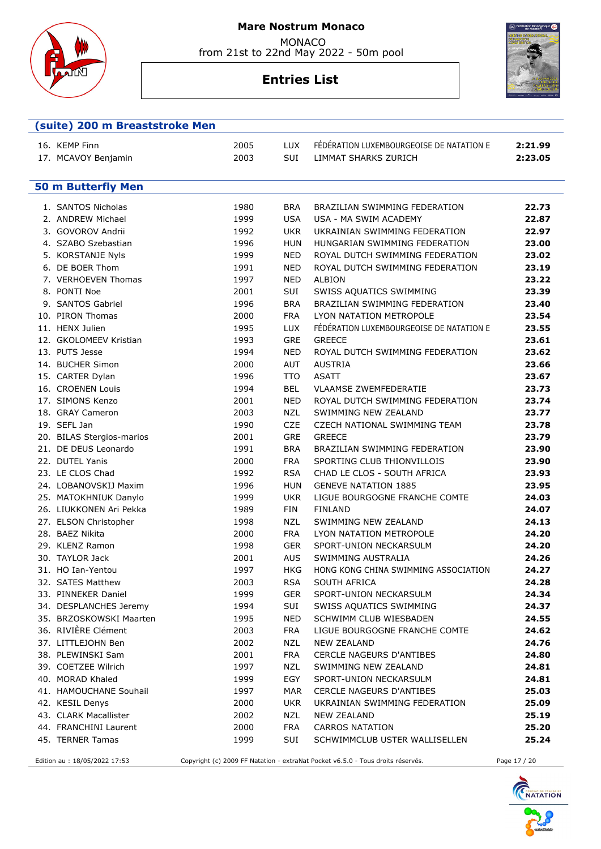

 **(suite) 200 m Breaststroke Men** 

#### **Mare Nostrum Monaco**

 MONACO from 21st to 22nd May 2022 - 50m pool

# **Entries List**



| 16. KEMP Finn<br>17. MCAVOY Benjamin | 2005<br>2003 | <b>LUX</b><br>SUI | FÉDÉRATION LUXEMBOURGEOISE DE NATATION E<br><b>LIMMAT SHARKS ZURICH</b> | 2:21.99<br>2:23.05 |
|--------------------------------------|--------------|-------------------|-------------------------------------------------------------------------|--------------------|
| <b>50 m Butterfly Men</b>            |              |                   |                                                                         |                    |
|                                      |              |                   |                                                                         |                    |
| 1. SANTOS Nicholas                   | 1980         | <b>BRA</b>        | BRAZILIAN SWIMMING FEDERATION                                           | 22.73              |
| 2. ANDREW Michael                    | 1999         | <b>USA</b>        | USA - MA SWIM ACADEMY                                                   | 22.87              |
| 3. GOVOROV Andrii                    | 1992         | <b>UKR</b>        | UKRAINIAN SWIMMING FEDERATION                                           | 22.97              |
| 4. SZABO Szebastian                  | 1996         | <b>HUN</b>        | HUNGARIAN SWIMMING FEDERATION                                           | 23.00              |
| 5. KORSTANJE Nyls                    | 1999         | <b>NED</b>        | ROYAL DUTCH SWIMMING FEDERATION                                         | 23.02              |
| 6. DE BOER Thom                      | 1991         | <b>NED</b>        | ROYAL DUTCH SWIMMING FEDERATION                                         | 23.19              |
| 7. VERHOEVEN Thomas                  | 1997         | <b>NED</b>        | <b>ALBION</b>                                                           | 23.22              |
| 8. PONTI Noe                         | 2001         | SUI               | SWISS AQUATICS SWIMMING                                                 | 23.39              |
| 9. SANTOS Gabriel                    | 1996         | <b>BRA</b>        | <b>BRAZILIAN SWIMMING FEDERATION</b>                                    | 23.40              |
| 10. PIRON Thomas                     | 2000         | <b>FRA</b>        | LYON NATATION METROPOLE                                                 | 23.54              |
| 11. HENX Julien                      | 1995         | <b>LUX</b>        | FÉDÉRATION LUXEMBOURGEOISE DE NATATION E                                | 23.55              |
| 12. GKOLOMEEV Kristian               | 1993         | <b>GRE</b>        | <b>GREECE</b>                                                           | 23.61              |
| 13. PUTS Jesse                       | 1994         | <b>NED</b>        | ROYAL DUTCH SWIMMING FEDERATION                                         | 23.62              |
| 14. BUCHER Simon                     | 2000         | <b>AUT</b>        | <b>AUSTRIA</b>                                                          | 23.66              |
| 15. CARTER Dylan                     | 1996         | <b>TTO</b>        | <b>ASATT</b>                                                            | 23.67              |
| 16. CROENEN Louis                    | 1994         | <b>BEL</b>        | <b>VLAAMSE ZWEMFEDERATIE</b>                                            | 23.73              |
| 17. SIMONS Kenzo                     | 2001         | <b>NED</b>        | ROYAL DUTCH SWIMMING FEDERATION                                         | 23.74              |
| 18. GRAY Cameron                     | 2003         | NZL               | SWIMMING NEW ZEALAND                                                    | 23.77              |
| 19. SEFL Jan                         | 1990         | <b>CZE</b>        | CZECH NATIONAL SWIMMING TEAM                                            | 23.78              |
| 20. BILAS Stergios-marios            | 2001         | <b>GRE</b>        | <b>GREECE</b>                                                           | 23.79              |
| 21. DE DEUS Leonardo                 | 1991         | <b>BRA</b>        | BRAZILIAN SWIMMING FEDERATION                                           | 23.90              |
| 22. DUTEL Yanis                      | 2000         | <b>FRA</b>        | SPORTING CLUB THIONVILLOIS                                              | 23.90              |
| 23. LE CLOS Chad                     | 1992         | <b>RSA</b>        | CHAD LE CLOS - SOUTH AFRICA                                             | 23.93              |
| 24. LOBANOVSKIJ Maxim                | 1996         | <b>HUN</b>        | <b>GENEVE NATATION 1885</b>                                             | 23.95              |
| 25. MATOKHNIUK Danylo                | 1999         | <b>UKR</b>        | LIGUE BOURGOGNE FRANCHE COMTE                                           | 24.03              |
| 26. LIUKKONEN Ari Pekka              | 1989         | <b>FIN</b>        | <b>FINLAND</b>                                                          | 24.07              |
| 27. ELSON Christopher                | 1998         | <b>NZL</b>        | SWIMMING NEW ZEALAND                                                    | 24.13              |
| 28. BAEZ Nikita                      | 2000         | <b>FRA</b>        | LYON NATATION METROPOLE                                                 | 24.20              |
| 29. KLENZ Ramon                      | 1998         | <b>GER</b>        | SPORT-UNION NECKARSULM                                                  | 24.20              |
| 30. TAYLOR Jack                      | 2001         | <b>AUS</b>        | SWIMMING AUSTRALIA                                                      | 24.26              |
| 31. HO Ian-Yentou                    | 1997         | <b>HKG</b>        | HONG KONG CHINA SWIMMING ASSOCIATION                                    | 24.27              |
| 32. SATES Matthew                    | 2003         | <b>RSA</b>        | SOUTH AFRICA                                                            | 24.28              |
| 33. PINNEKER Daniel                  | 1999         | <b>GER</b>        | SPORT-UNION NECKARSULM                                                  | 24.34              |

36. RIVIÈRE Clément 2003 FRA LIGUE BOURGOGNE FRANCHE COMTE **24.62** 37. LITTLEJOHN Ben 2002 NZL NEW ZEALAND **24.76** 38. PLEWINSKI Sam 2001 FRA CERCLE NAGEURS D'ANTIBES **24.80** 39. COETZEE Wilrich 1997 NZL SWIMMING NEW ZEALAND **24.81** 40. MORAD Khaled 1999 EGY SPORT-UNION NECKARSULM **24.81** 41. HAMOUCHANE Souhail 1997 MAR CERCLE NAGEURS D'ANTIBES **25.03** 42. KESIL Denys 2000 UKR UKRAINIAN SWIMMING FEDERATION **25.09** 43. CLARK Macallister 2002 NZL NEW ZEALAND **25.19** 44. FRANCHINI Laurent 2000 FRA CARROS NATATION **25.20** 45. TERNER Tamas 1999 SUI SCHWIMMCLUB USTER WALLISELLEN **25.24** Edition au : 18/05/2022 17:53 Copyright (c) 2009 FF Natation - extraNat Pocket v6.5.0 - Tous droits réservés. Page 17 / 20

34. DESPLANCHES Jeremy 1994 SUI SWISS AQUATICS SWIMMING **24.37** 35. BRZOSKOWSKI Maarten 1995 NED SCHWIMM CLUB WIESBADEN **24.55**

**TEDERATION FRANCAISE** 

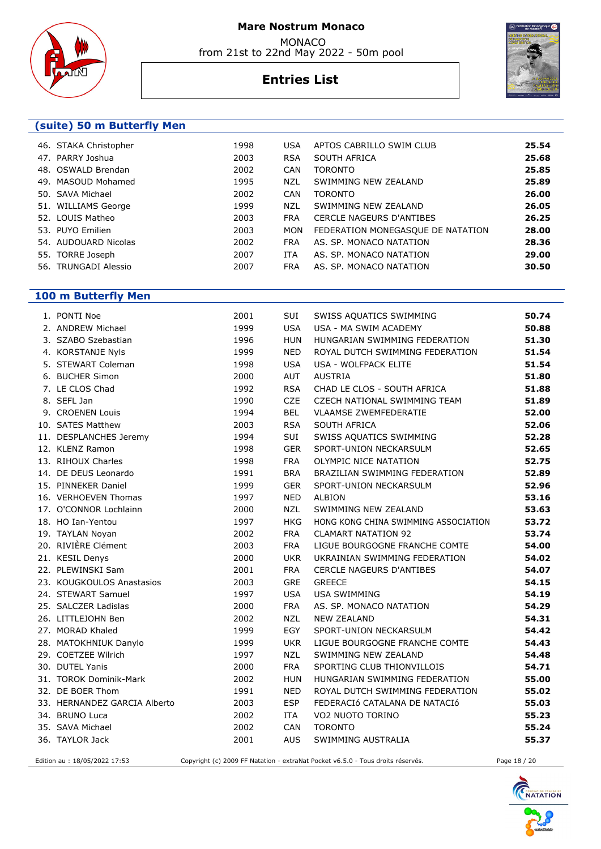



# **Entries List**



### **(suite) 50 m Butterfly Men**

| 46. STAKA Christopher | 1998 | <b>USA</b> | APTOS CABRILLO SWIM CLUB          | 25.54 |
|-----------------------|------|------------|-----------------------------------|-------|
| 47. PARRY Joshua      | 2003 | <b>RSA</b> | SOUTH AFRICA                      | 25.68 |
| 48. OSWALD Brendan    | 2002 | <b>CAN</b> | <b>TORONTO</b>                    | 25.85 |
| 49. MASOUD Mohamed    | 1995 | NZL        | SWIMMING NEW ZEALAND              | 25.89 |
| 50. SAVA Michael      | 2002 | <b>CAN</b> | <b>TORONTO</b>                    | 26.00 |
| 51. WILLIAMS George   | 1999 | NZL        | SWIMMING NEW ZEALAND              | 26.05 |
| 52. LOUIS Matheo      | 2003 | <b>FRA</b> | <b>CERCLE NAGEURS D'ANTIBES</b>   | 26.25 |
| 53. PUYO Emilien      | 2003 | MON        | FEDERATION MONEGASQUE DE NATATION | 28.00 |
| 54. AUDOUARD Nicolas  | 2002 | <b>FRA</b> | AS. SP. MONACO NATATION           | 28.36 |
| 55. TORRE Joseph      | 2007 | ITA        | AS. SP. MONACO NATATION           | 29.00 |
| 56. TRUNGADI Alessio  | 2007 | <b>FRA</b> | AS. SP. MONACO NATATION           | 30.50 |
|                       |      |            |                                   |       |

# **100 m Butterfly Men**

| 1. PONTI Noe                 | 2001 | SUI        | SWISS AQUATICS SWIMMING              | 50.74 |
|------------------------------|------|------------|--------------------------------------|-------|
| 2. ANDREW Michael            | 1999 | <b>USA</b> | USA - MA SWIM ACADEMY                | 50.88 |
| 3. SZABO Szebastian          | 1996 | <b>HUN</b> | HUNGARIAN SWIMMING FEDERATION        | 51.30 |
| 4. KORSTANJE Nyls            | 1999 | <b>NED</b> | ROYAL DUTCH SWIMMING FEDERATION      | 51.54 |
| 5. STEWART Coleman           | 1998 | <b>USA</b> | <b>USA - WOLFPACK ELITE</b>          | 51.54 |
| 6. BUCHER Simon              | 2000 | AUT        | <b>AUSTRIA</b>                       | 51.80 |
| 7. LE CLOS Chad              | 1992 | <b>RSA</b> | CHAD LE CLOS - SOUTH AFRICA          | 51.88 |
| 8. SEFL Jan                  | 1990 | <b>CZE</b> | CZECH NATIONAL SWIMMING TEAM         | 51.89 |
| 9. CROENEN Louis             | 1994 | <b>BEL</b> | <b>VLAAMSE ZWEMFEDERATIE</b>         | 52.00 |
| 10. SATES Matthew            | 2003 | <b>RSA</b> | SOUTH AFRICA                         | 52.06 |
| 11. DESPLANCHES Jeremy       | 1994 | SUI        | SWISS AQUATICS SWIMMING              | 52.28 |
| 12. KLENZ Ramon              | 1998 | <b>GER</b> | SPORT-UNION NECKARSULM               | 52.65 |
| 13. RIHOUX Charles           | 1998 | <b>FRA</b> | OLYMPIC NICE NATATION                | 52.75 |
| 14. DE DEUS Leonardo         | 1991 | <b>BRA</b> | BRAZILIAN SWIMMING FEDERATION        | 52.89 |
| 15. PINNEKER Daniel          | 1999 | <b>GER</b> | SPORT-UNION NECKARSULM               | 52.96 |
| 16. VERHOEVEN Thomas         | 1997 | <b>NED</b> | <b>ALBION</b>                        | 53.16 |
| 17. O'CONNOR Lochlainn       | 2000 | <b>NZL</b> | SWIMMING NEW ZEALAND                 | 53.63 |
| 18. HO Ian-Yentou            | 1997 | <b>HKG</b> | HONG KONG CHINA SWIMMING ASSOCIATION | 53.72 |
| 19. TAYLAN Noyan             | 2002 | <b>FRA</b> | <b>CLAMART NATATION 92</b>           | 53.74 |
| 20. RIVIÈRE Clément          | 2003 | <b>FRA</b> | LIGUE BOURGOGNE FRANCHE COMTE        | 54.00 |
| 21. KESIL Denys              | 2000 | <b>UKR</b> | UKRAINIAN SWIMMING FEDERATION        | 54.02 |
| 22. PLEWINSKI Sam            | 2001 | <b>FRA</b> | <b>CERCLE NAGEURS D'ANTIBES</b>      | 54.07 |
| 23. KOUGKOULOS Anastasios    | 2003 | <b>GRE</b> | <b>GREECE</b>                        | 54.15 |
| 24. STEWART Samuel           | 1997 | <b>USA</b> | <b>USA SWIMMING</b>                  | 54.19 |
| 25. SALCZER Ladislas         | 2000 | <b>FRA</b> | AS. SP. MONACO NATATION              | 54.29 |
| 26. LITTLEJOHN Ben           | 2002 | <b>NZL</b> | <b>NEW ZEALAND</b>                   | 54.31 |
| 27. MORAD Khaled             | 1999 | EGY        | SPORT-UNION NECKARSULM               | 54.42 |
| 28. MATOKHNIUK Danylo        | 1999 | <b>UKR</b> | LIGUE BOURGOGNE FRANCHE COMTE        | 54.43 |
| 29. COETZEE Wilrich          | 1997 | <b>NZL</b> | SWIMMING NEW ZEALAND                 | 54.48 |
| 30. DUTEL Yanis              | 2000 | <b>FRA</b> | SPORTING CLUB THIONVILLOIS           | 54.71 |
| 31. TOROK Dominik-Mark       | 2002 | <b>HUN</b> | HUNGARIAN SWIMMING FEDERATION        | 55.00 |
| 32. DE BOER Thom             | 1991 | <b>NED</b> | ROYAL DUTCH SWIMMING FEDERATION      | 55.02 |
| 33. HERNANDEZ GARCIA Alberto | 2003 | <b>ESP</b> | FEDERACIÓ CATALANA DE NATACIÓ        | 55.03 |
| 34. BRUNO Luca               | 2002 | <b>ITA</b> | VO2 NUOTO TORINO                     | 55.23 |
| 35. SAVA Michael             | 2002 | CAN        | <b>TORONTO</b>                       | 55.24 |
| 36. TAYLOR Jack              | 2001 | <b>AUS</b> | SWIMMING AUSTRALIA                   | 55.37 |
|                              |      |            |                                      |       |

Edition au : 18/05/2022 17:53 Copyright (c) 2009 FF Natation - extraNat Pocket v6.5.0 - Tous droits réservés. Page 18 / 20

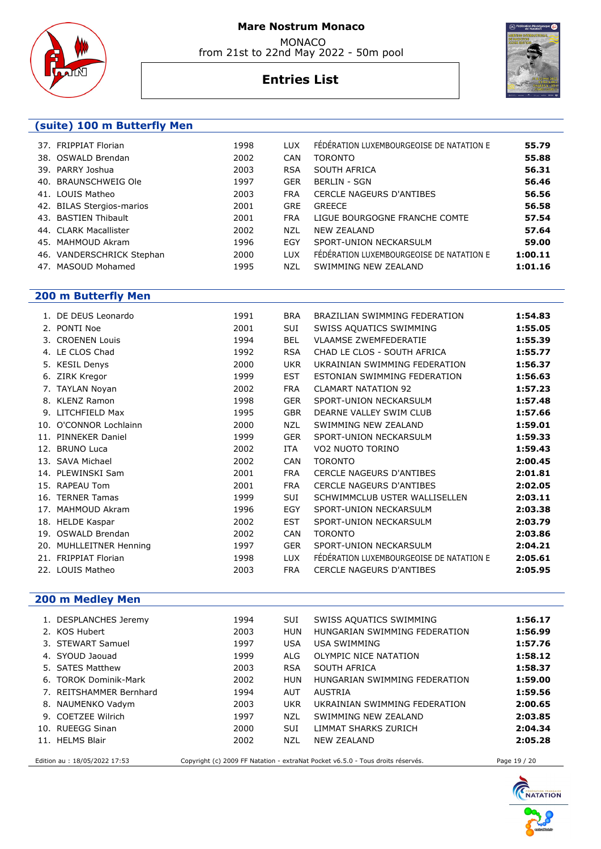





# **Entries List**

### **(suite) 100 m Butterfly Men**

| 37. FRIPPIAT Florian      | 1998 | LUX.       | FÉDÉRATION LUXEMBOURGEOISE DE NATATION E | 55.79   |
|---------------------------|------|------------|------------------------------------------|---------|
| 38. OSWALD Brendan        | 2002 | <b>CAN</b> | <b>TORONTO</b>                           | 55.88   |
| 39. PARRY Joshua          | 2003 | <b>RSA</b> | SOUTH AFRICA                             | 56.31   |
| 40. BRAUNSCHWEIG Ole      | 1997 | <b>GER</b> | <b>BERLIN - SGN</b>                      | 56.46   |
| 41. LOUIS Matheo          | 2003 | <b>FRA</b> | <b>CERCLE NAGEURS D'ANTIBES</b>          | 56.56   |
| 42. BILAS Stergios-marios | 2001 | <b>GRE</b> | <b>GREECE</b>                            | 56.58   |
| 43. BASTIEN Thibault      | 2001 | <b>FRA</b> | LIGUE BOURGOGNE FRANCHE COMTE            | 57.54   |
| 44. CLARK Macallister     | 2002 | NZL        | <b>NEW ZEALAND</b>                       | 57.64   |
| 45. MAHMOUD Akram         | 1996 | EGY        | SPORT-UNION NECKARSULM                   | 59.00   |
| 46. VANDERSCHRICK Stephan | 2000 | <b>LUX</b> | FÉDÉRATION LUXEMBOURGEOISE DE NATATION E | 1:00.11 |
| 47. MASOUD Mohamed        | 1995 | NZL        | SWIMMING NEW ZEALAND                     | 1:01.16 |

# **200 m Butterfly Men**

|     | 1. DE DEUS Leonardo     | 1991 | <b>BRA</b> | BRAZILIAN SWIMMING FEDERATION            | 1:54.83 |
|-----|-------------------------|------|------------|------------------------------------------|---------|
|     | 2. PONTI Noe            | 2001 | SUI        | SWISS AQUATICS SWIMMING                  | 1:55.05 |
|     | 3. CROENEN Louis        | 1994 | <b>BEL</b> | <b>VLAAMSE ZWEMFEDERATIE</b>             | 1:55.39 |
|     | 4. LE CLOS Chad         | 1992 | <b>RSA</b> | CHAD LE CLOS - SOUTH AFRICA              | 1:55.77 |
|     | 5. KESIL Denys          | 2000 | <b>UKR</b> | UKRAINIAN SWIMMING FEDERATION            | 1:56.37 |
|     | 6. ZIRK Kregor          | 1999 | <b>EST</b> | ESTONIAN SWIMMING FEDERATION             | 1:56.63 |
|     | 7. TAYLAN Noyan         | 2002 | <b>FRA</b> | <b>CLAMART NATATION 92</b>               | 1:57.23 |
|     | 8. KLENZ Ramon          | 1998 | <b>GER</b> | SPORT-UNION NECKARSULM                   | 1:57.48 |
|     | 9. LITCHFIELD Max       | 1995 | <b>GBR</b> | DEARNE VALLEY SWIM CLUB                  | 1:57.66 |
|     | 10. O'CONNOR Lochlainn  | 2000 | <b>NZL</b> | SWIMMING NEW ZEALAND                     | 1:59.01 |
| 11. | <b>PINNEKER Daniel</b>  | 1999 | <b>GER</b> | SPORT-UNION NECKARSULM                   | 1:59.33 |
|     | 12. BRUNO Luca          | 2002 | <b>ITA</b> | VO2 NUOTO TORINO                         | 1:59.43 |
|     | 13. SAVA Michael        | 2002 | <b>CAN</b> | <b>TORONTO</b>                           | 2:00.45 |
|     | 14. PLEWINSKI Sam       | 2001 | <b>FRA</b> | CERCLE NAGEURS D'ANTIBES                 | 2:01.81 |
|     | 15. RAPEAU Tom          | 2001 | <b>FRA</b> | CERCLE NAGEURS D'ANTIBES                 | 2:02.05 |
|     | 16. TERNER Tamas        | 1999 | SUI        | SCHWIMMCLUB USTER WALLISELLEN            | 2:03.11 |
|     | 17. MAHMOUD Akram       | 1996 | EGY        | SPORT-UNION NECKARSULM                   | 2:03.38 |
|     | 18. HELDE Kaspar        | 2002 | <b>EST</b> | SPORT-UNION NECKARSULM                   | 2:03.79 |
|     | 19. OSWALD Brendan      | 2002 | <b>CAN</b> | <b>TORONTO</b>                           | 2:03.86 |
|     | 20. MUHLLEITNER Henning | 1997 | <b>GER</b> | SPORT-UNION NECKARSULM                   | 2:04.21 |
|     | 21. FRIPPIAT Florian    | 1998 | <b>LUX</b> | FÉDÉRATION LUXEMBOURGEOISE DE NATATION E | 2:05.61 |
|     | 22. LOUIS Matheo        | 2003 | <b>FRA</b> | <b>CERCLE NAGEURS D'ANTIBES</b>          | 2:05.95 |
|     |                         |      |            |                                          |         |

# **200 m Medley Men**

|                                                                                                                                  | 1. DESPLANCHES Jeremy   | 1994 | <b>SUI</b> | SWISS AQUATICS SWIMMING       | 1:56.17 |
|----------------------------------------------------------------------------------------------------------------------------------|-------------------------|------|------------|-------------------------------|---------|
|                                                                                                                                  | 2. KOS Hubert           | 2003 | HUN        | HUNGARIAN SWIMMING FEDERATION | 1:56.99 |
|                                                                                                                                  | 3. STEWART Samuel       | 1997 | <b>USA</b> | USA SWIMMING                  | 1:57.76 |
|                                                                                                                                  | 4. SYOUD Jaouad         | 1999 | ALG        | OLYMPIC NICE NATATION         | 1:58.12 |
|                                                                                                                                  | 5. SATES Matthew        | 2003 | <b>RSA</b> | SOUTH AFRICA                  | 1:58.37 |
|                                                                                                                                  | 6. TOROK Dominik-Mark   | 2002 | HUN        | HUNGARIAN SWIMMING FEDERATION | 1:59.00 |
|                                                                                                                                  | 7. REITSHAMMER Bernhard | 1994 | AUT        | <b>AUSTRIA</b>                | 1:59.56 |
|                                                                                                                                  | 8. NAUMENKO Vadym       | 2003 | <b>UKR</b> | UKRAINIAN SWIMMING FEDERATION | 2:00.65 |
|                                                                                                                                  | 9. COETZEE Wilrich      | 1997 | NZL        | SWIMMING NEW ZEALAND          | 2:03.85 |
|                                                                                                                                  | 10. RUEEGG Sinan        | 2000 | <b>SUI</b> | LIMMAT SHARKS ZURICH          | 2:04.34 |
|                                                                                                                                  | 11. HELMS Blair         | 2002 | NZL        | <b>NEW ZEALAND</b>            | 2:05.28 |
| Copyright (c) 2009 FF Natation - extraNat Pocket v6.5.0 - Tous droits réservés.<br>Edition au : 18/05/2022 17:53<br>Page 19 / 20 |                         |      |            |                               |         |